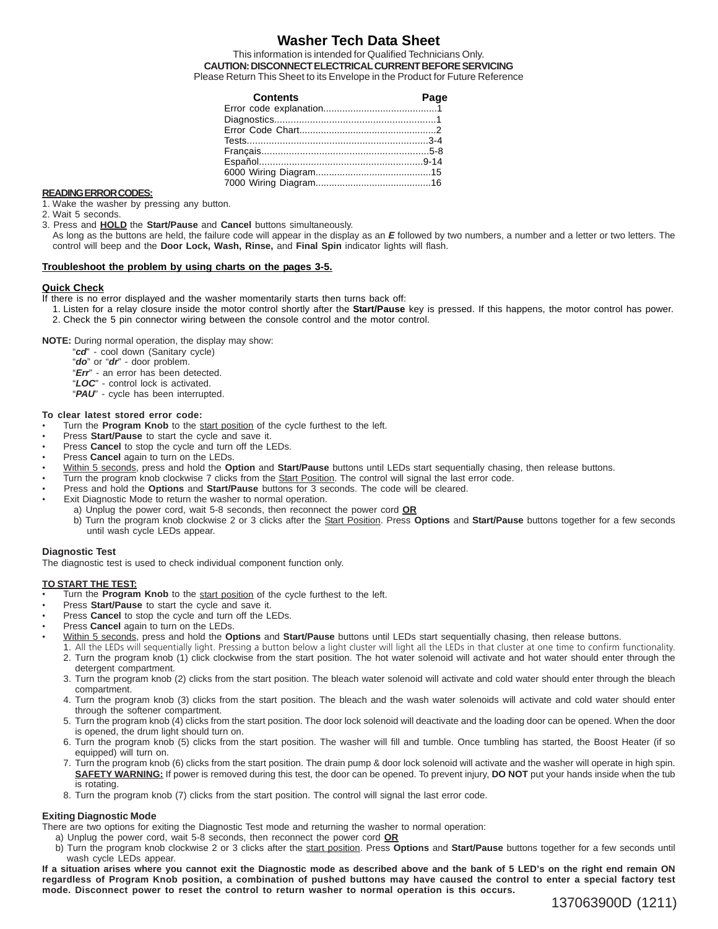## **Washer Tech Data Sheet**

This information is intended for Qualified Technicians Only. **CAUTION: DISCONNECT ELECTRICAL CURRENT BEFORE SERVICING** Please Return This Sheet to its Envelope in the Product for Future Reference

| <b>Contents</b> | Page |
|-----------------|------|
|                 |      |
|                 |      |
|                 |      |
|                 |      |
|                 |      |
|                 |      |
|                 |      |
|                 |      |
|                 |      |

#### **READING ERROR CODES:**

1. Wake the washer by pressing any button.

- 2. Wait 5 seconds.
- 3. Press and **HOLD** the **Start/Pause** and **Cancel** buttons simultaneously.
	- As long as the buttons are held, the failure code will appear in the display as an *E* followed by two numbers, a number and a letter or two letters. The control will beep and the **Door Lock, Wash, Rinse,** and **Final Spin** indicator lights will flash.

#### **Troubleshoot the problem by using charts on the pages 3-5.**

#### **Quick Check**

If there is no error displayed and the washer momentarily starts then turns back off:

1. Listen for a relay closure inside the motor control shortly after the **Start/Pause** key is pressed. If this happens, the motor control has power. 2. Check the 5 pin connector wiring between the console control and the motor control.

**NOTE:** During normal operation, the display may show:

- "*cd*" cool down (Sanitary cycle)
- "*do*" or "*dr*" door problem.
- "*Err*" an error has been detected.
- "*LOC*" control lock is activated.
- "*PAU*" cycle has been interrupted.

#### **To clear latest stored error code:**

- Turn the **Program Knob** to the start position of the cycle furthest to the left.
- Press **Start/Pause** to start the cycle and save it.
- Press **Cancel** to stop the cycle and turn off the LEDs.
- Press **Cancel** again to turn on the LEDs.
- Within 5 seconds, press and hold the **Option** and **Start/Pause** buttons until LEDs start sequentially chasing, then release buttons.
- Turn the program knob clockwise 7 clicks from the Start Position. The control will signal the last error code.
- Press and hold the **Options** and **Start/Pause** buttons for 3 seconds. The code will be cleared.
- Exit Diagnostic Mode to return the washer to normal operation.
	- a) Unplug the power cord, wait 5-8 seconds, then reconnect the power cord **OR**
		- b) Turn the program knob clockwise 2 or 3 clicks after the Start Position. Press **Options** and **Start/Pause** buttons together for a few seconds until wash cycle LEDs appear.

#### **Diagnostic Test**

The diagnostic test is used to check individual component function only.

#### **TO START THE TEST:**

- Turn the **Program Knob** to the start position of the cycle furthest to the left.
- Press **Start/Pause** to start the cycle and save it.
- Press **Cancel** to stop the cycle and turn off the LEDs.
- Press **Cancel** again to turn on the LEDs.
- Within 5 seconds, press and hold the **Options** and **Start/Pause** buttons until LEDs start sequentially chasing, then release buttons.
	- 1. All the LEDs will sequentially light. Pressing a button below a light cluster will light all the LEDs in that cluster at one time to confirm functionality. 2. Turn the program knob (1) click clockwise from the start position. The hot water solenoid will activate and hot water should enter through the detergent compartment.
	- 3. Turn the program knob (2) clicks from the start position. The bleach water solenoid will activate and cold water should enter through the bleach compartment.
	- 4. Turn the program knob (3) clicks from the start position. The bleach and the wash water solenoids will activate and cold water should enter through the softener compartment.
	- 5. Turn the program knob (4) clicks from the start position. The door lock solenoid will deactivate and the loading door can be opened. When the door is opened, the drum light should turn on.
	- 6. Turn the program knob (5) clicks from the start position. The washer will fill and tumble. Once tumbling has started, the Boost Heater (if so equipped) will turn on.
	- 7. Turn the program knob (6) clicks from the start position. The drain pump & door lock solenoid will activate and the washer will operate in high spin. **SAFETY WARNING:** If power is removed during this test, the door can be opened. To prevent injury, **DO NOT** put your hands inside when the tub is rotating.
	- 8. Turn the program knob (7) clicks from the start position. The control will signal the last error code.

#### **Exiting Diagnostic Mode**

There are two options for exiting the Diagnostic Test mode and returning the washer to normal operation:

- a) Unplug the power cord, wait 5-8 seconds, then reconnect the power cord **OR**
- b) Turn the program knob clockwise 2 or 3 clicks after the start position. Press **Options** and **Start/Pause** buttons together for a few seconds until wash cycle LEDs appear.

**If a situation arises where you cannot exit the Diagnostic mode as described above and the bank of 5 LED's on the right end remain ON regardless of Program Knob position, a combination of pushed buttons may have caused the control to enter a special factory test mode. Disconnect power to reset the control to return washer to normal operation is this occurs.**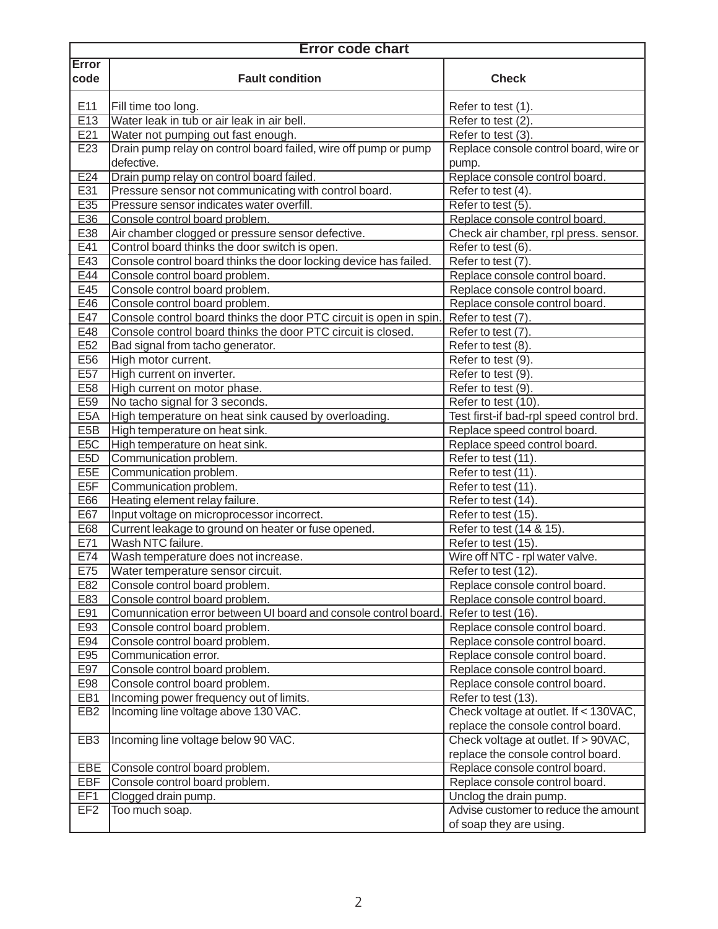| <b>Error</b><br>code<br><b>Fault condition</b><br><b>Check</b><br>E11<br>Fill time too long.<br>Refer to test (1).<br>E13<br>Water leak in tub or air leak in air bell.<br>Refer to test $(2)$ .<br>E21<br>Water not pumping out fast enough.<br>Refer to test (3).<br>Drain pump relay on control board failed, wire off pump or pump<br>Replace console control board, wire or<br>E23<br>defective.<br>pump.<br>Replace console control board.<br>E24<br>Drain pump relay on control board failed.<br>E31<br>Pressure sensor not communicating with control board.<br>Refer to test (4).<br>E35<br>Pressure sensor indicates water overfill.<br>Refer to test (5).<br>E36<br>Replace console control board<br>Console control board problem.<br>E38<br>Air chamber clogged or pressure sensor defective.<br>Check air chamber, rpl press. sensor.<br>E41<br>Control board thinks the door switch is open.<br>Refer to test (6).<br>E43<br>Console control board thinks the door locking device has failed.<br>Refer to test (7).<br>E44<br>Replace console control board.<br>Console control board problem.<br>E45<br>Console control board problem.<br>Replace console control board.<br>E46<br>Console control board problem.<br>Replace console control board.<br>E47<br>Console control board thinks the door PTC circuit is open in spin.<br>Refer to test (7).<br>E48<br>Console control board thinks the door PTC circuit is closed.<br>Refer to test (7).<br>E <sub>52</sub><br>Bad signal from tacho generator.<br>Refer to test (8).<br>E56<br>High motor current.<br>Refer to test (9).<br>E <sub>57</sub><br>High current on inverter.<br>Refer to test (9).<br>E58<br>High current on motor phase.<br>Refer to test (9).<br>E59<br>No tacho signal for 3 seconds.<br>Refer to test (10).<br>E <sub>5</sub> A<br>High temperature on heat sink caused by overloading.<br>Test first-if bad-rpl speed control brd.<br>E <sub>5</sub> B<br>High temperature on heat sink.<br>Replace speed control board.<br>E <sub>5</sub> C<br>High temperature on heat sink.<br>Replace speed control board.<br>E <sub>5</sub> D<br>Communication problem.<br>Refer to test (11).<br>E <sub>5</sub> E<br>Communication problem.<br>Refer to test (11).<br>E <sub>5F</sub><br>Communication problem.<br>Refer to test (11).<br>E66<br>Heating element relay failure.<br>Refer to test (14).<br>E67<br>Input voltage on microprocessor incorrect.<br>Refer to test (15).<br>E68<br>Current leakage to ground on heater or fuse opened.<br>Refer to test (14 & 15).<br>E71<br>Wash NTC failure.<br>Refer to test (15).<br>E74<br>Wire off NTC - rpl water valve.<br>Wash temperature does not increase.<br>E75<br>Water temperature sensor circuit.<br>Refer to test (12).<br>E82<br>Console control board problem.<br>Replace console control board.<br>E83<br>Console control board problem.<br>Replace console control board.<br>E91<br>Comunnication error between UI board and console control board<br>Refer to test (16).<br>E93<br>Console control board problem.<br>Replace console control board.<br>E94<br>Console control board problem.<br>Replace console control board.<br>E95<br>Communication error.<br>Replace console control board.<br>E97<br>Console control board problem.<br>Replace console control board.<br>E98<br>Console control board problem.<br>Replace console control board.<br>EB1<br>Incoming power frequency out of limits.<br>Refer to test (13).<br>Check voltage at outlet. If < 130VAC,<br>EB <sub>2</sub><br>Incoming line voltage above 130 VAC.<br>replace the console control board.<br>Check voltage at outlet. If > 90VAC,<br>EB <sub>3</sub><br>Incoming line voltage below 90 VAC.<br>replace the console control board.<br>Replace console control board.<br>EBE<br>Console control board problem.<br>EBF<br>Console control board problem.<br>Replace console control board.<br>EF1<br>Clogged drain pump.<br>Unclog the drain pump.<br>Advise customer to reduce the amount<br>EF <sub>2</sub><br>Too much soap. | <b>Error code chart</b> |  |                         |
|-----------------------------------------------------------------------------------------------------------------------------------------------------------------------------------------------------------------------------------------------------------------------------------------------------------------------------------------------------------------------------------------------------------------------------------------------------------------------------------------------------------------------------------------------------------------------------------------------------------------------------------------------------------------------------------------------------------------------------------------------------------------------------------------------------------------------------------------------------------------------------------------------------------------------------------------------------------------------------------------------------------------------------------------------------------------------------------------------------------------------------------------------------------------------------------------------------------------------------------------------------------------------------------------------------------------------------------------------------------------------------------------------------------------------------------------------------------------------------------------------------------------------------------------------------------------------------------------------------------------------------------------------------------------------------------------------------------------------------------------------------------------------------------------------------------------------------------------------------------------------------------------------------------------------------------------------------------------------------------------------------------------------------------------------------------------------------------------------------------------------------------------------------------------------------------------------------------------------------------------------------------------------------------------------------------------------------------------------------------------------------------------------------------------------------------------------------------------------------------------------------------------------------------------------------------------------------------------------------------------------------------------------------------------------------------------------------------------------------------------------------------------------------------------------------------------------------------------------------------------------------------------------------------------------------------------------------------------------------------------------------------------------------------------------------------------------------------------------------------------------------------------------------------------------------------------------------------------------------------------------------------------------------------------------------------------------------------------------------------------------------------------------------------------------------------------------------------------------------------------------------------------------------------------------------------------------------------------------------------------------------------------------------------------------------------------------------------------------------------------------------------------------------------------------------------------------------------------------------------------------------------------------------------------------------------------------------------------------------------------------------------------------------------------------------------------|-------------------------|--|-------------------------|
|                                                                                                                                                                                                                                                                                                                                                                                                                                                                                                                                                                                                                                                                                                                                                                                                                                                                                                                                                                                                                                                                                                                                                                                                                                                                                                                                                                                                                                                                                                                                                                                                                                                                                                                                                                                                                                                                                                                                                                                                                                                                                                                                                                                                                                                                                                                                                                                                                                                                                                                                                                                                                                                                                                                                                                                                                                                                                                                                                                                                                                                                                                                                                                                                                                                                                                                                                                                                                                                                                                                                                                                                                                                                                                                                                                                                                                                                                                                                                                                                                                                                 |                         |  |                         |
|                                                                                                                                                                                                                                                                                                                                                                                                                                                                                                                                                                                                                                                                                                                                                                                                                                                                                                                                                                                                                                                                                                                                                                                                                                                                                                                                                                                                                                                                                                                                                                                                                                                                                                                                                                                                                                                                                                                                                                                                                                                                                                                                                                                                                                                                                                                                                                                                                                                                                                                                                                                                                                                                                                                                                                                                                                                                                                                                                                                                                                                                                                                                                                                                                                                                                                                                                                                                                                                                                                                                                                                                                                                                                                                                                                                                                                                                                                                                                                                                                                                                 |                         |  |                         |
|                                                                                                                                                                                                                                                                                                                                                                                                                                                                                                                                                                                                                                                                                                                                                                                                                                                                                                                                                                                                                                                                                                                                                                                                                                                                                                                                                                                                                                                                                                                                                                                                                                                                                                                                                                                                                                                                                                                                                                                                                                                                                                                                                                                                                                                                                                                                                                                                                                                                                                                                                                                                                                                                                                                                                                                                                                                                                                                                                                                                                                                                                                                                                                                                                                                                                                                                                                                                                                                                                                                                                                                                                                                                                                                                                                                                                                                                                                                                                                                                                                                                 |                         |  |                         |
|                                                                                                                                                                                                                                                                                                                                                                                                                                                                                                                                                                                                                                                                                                                                                                                                                                                                                                                                                                                                                                                                                                                                                                                                                                                                                                                                                                                                                                                                                                                                                                                                                                                                                                                                                                                                                                                                                                                                                                                                                                                                                                                                                                                                                                                                                                                                                                                                                                                                                                                                                                                                                                                                                                                                                                                                                                                                                                                                                                                                                                                                                                                                                                                                                                                                                                                                                                                                                                                                                                                                                                                                                                                                                                                                                                                                                                                                                                                                                                                                                                                                 |                         |  |                         |
|                                                                                                                                                                                                                                                                                                                                                                                                                                                                                                                                                                                                                                                                                                                                                                                                                                                                                                                                                                                                                                                                                                                                                                                                                                                                                                                                                                                                                                                                                                                                                                                                                                                                                                                                                                                                                                                                                                                                                                                                                                                                                                                                                                                                                                                                                                                                                                                                                                                                                                                                                                                                                                                                                                                                                                                                                                                                                                                                                                                                                                                                                                                                                                                                                                                                                                                                                                                                                                                                                                                                                                                                                                                                                                                                                                                                                                                                                                                                                                                                                                                                 |                         |  |                         |
|                                                                                                                                                                                                                                                                                                                                                                                                                                                                                                                                                                                                                                                                                                                                                                                                                                                                                                                                                                                                                                                                                                                                                                                                                                                                                                                                                                                                                                                                                                                                                                                                                                                                                                                                                                                                                                                                                                                                                                                                                                                                                                                                                                                                                                                                                                                                                                                                                                                                                                                                                                                                                                                                                                                                                                                                                                                                                                                                                                                                                                                                                                                                                                                                                                                                                                                                                                                                                                                                                                                                                                                                                                                                                                                                                                                                                                                                                                                                                                                                                                                                 |                         |  |                         |
|                                                                                                                                                                                                                                                                                                                                                                                                                                                                                                                                                                                                                                                                                                                                                                                                                                                                                                                                                                                                                                                                                                                                                                                                                                                                                                                                                                                                                                                                                                                                                                                                                                                                                                                                                                                                                                                                                                                                                                                                                                                                                                                                                                                                                                                                                                                                                                                                                                                                                                                                                                                                                                                                                                                                                                                                                                                                                                                                                                                                                                                                                                                                                                                                                                                                                                                                                                                                                                                                                                                                                                                                                                                                                                                                                                                                                                                                                                                                                                                                                                                                 |                         |  |                         |
|                                                                                                                                                                                                                                                                                                                                                                                                                                                                                                                                                                                                                                                                                                                                                                                                                                                                                                                                                                                                                                                                                                                                                                                                                                                                                                                                                                                                                                                                                                                                                                                                                                                                                                                                                                                                                                                                                                                                                                                                                                                                                                                                                                                                                                                                                                                                                                                                                                                                                                                                                                                                                                                                                                                                                                                                                                                                                                                                                                                                                                                                                                                                                                                                                                                                                                                                                                                                                                                                                                                                                                                                                                                                                                                                                                                                                                                                                                                                                                                                                                                                 |                         |  |                         |
|                                                                                                                                                                                                                                                                                                                                                                                                                                                                                                                                                                                                                                                                                                                                                                                                                                                                                                                                                                                                                                                                                                                                                                                                                                                                                                                                                                                                                                                                                                                                                                                                                                                                                                                                                                                                                                                                                                                                                                                                                                                                                                                                                                                                                                                                                                                                                                                                                                                                                                                                                                                                                                                                                                                                                                                                                                                                                                                                                                                                                                                                                                                                                                                                                                                                                                                                                                                                                                                                                                                                                                                                                                                                                                                                                                                                                                                                                                                                                                                                                                                                 |                         |  |                         |
|                                                                                                                                                                                                                                                                                                                                                                                                                                                                                                                                                                                                                                                                                                                                                                                                                                                                                                                                                                                                                                                                                                                                                                                                                                                                                                                                                                                                                                                                                                                                                                                                                                                                                                                                                                                                                                                                                                                                                                                                                                                                                                                                                                                                                                                                                                                                                                                                                                                                                                                                                                                                                                                                                                                                                                                                                                                                                                                                                                                                                                                                                                                                                                                                                                                                                                                                                                                                                                                                                                                                                                                                                                                                                                                                                                                                                                                                                                                                                                                                                                                                 |                         |  |                         |
|                                                                                                                                                                                                                                                                                                                                                                                                                                                                                                                                                                                                                                                                                                                                                                                                                                                                                                                                                                                                                                                                                                                                                                                                                                                                                                                                                                                                                                                                                                                                                                                                                                                                                                                                                                                                                                                                                                                                                                                                                                                                                                                                                                                                                                                                                                                                                                                                                                                                                                                                                                                                                                                                                                                                                                                                                                                                                                                                                                                                                                                                                                                                                                                                                                                                                                                                                                                                                                                                                                                                                                                                                                                                                                                                                                                                                                                                                                                                                                                                                                                                 |                         |  |                         |
|                                                                                                                                                                                                                                                                                                                                                                                                                                                                                                                                                                                                                                                                                                                                                                                                                                                                                                                                                                                                                                                                                                                                                                                                                                                                                                                                                                                                                                                                                                                                                                                                                                                                                                                                                                                                                                                                                                                                                                                                                                                                                                                                                                                                                                                                                                                                                                                                                                                                                                                                                                                                                                                                                                                                                                                                                                                                                                                                                                                                                                                                                                                                                                                                                                                                                                                                                                                                                                                                                                                                                                                                                                                                                                                                                                                                                                                                                                                                                                                                                                                                 |                         |  |                         |
|                                                                                                                                                                                                                                                                                                                                                                                                                                                                                                                                                                                                                                                                                                                                                                                                                                                                                                                                                                                                                                                                                                                                                                                                                                                                                                                                                                                                                                                                                                                                                                                                                                                                                                                                                                                                                                                                                                                                                                                                                                                                                                                                                                                                                                                                                                                                                                                                                                                                                                                                                                                                                                                                                                                                                                                                                                                                                                                                                                                                                                                                                                                                                                                                                                                                                                                                                                                                                                                                                                                                                                                                                                                                                                                                                                                                                                                                                                                                                                                                                                                                 |                         |  |                         |
|                                                                                                                                                                                                                                                                                                                                                                                                                                                                                                                                                                                                                                                                                                                                                                                                                                                                                                                                                                                                                                                                                                                                                                                                                                                                                                                                                                                                                                                                                                                                                                                                                                                                                                                                                                                                                                                                                                                                                                                                                                                                                                                                                                                                                                                                                                                                                                                                                                                                                                                                                                                                                                                                                                                                                                                                                                                                                                                                                                                                                                                                                                                                                                                                                                                                                                                                                                                                                                                                                                                                                                                                                                                                                                                                                                                                                                                                                                                                                                                                                                                                 |                         |  |                         |
|                                                                                                                                                                                                                                                                                                                                                                                                                                                                                                                                                                                                                                                                                                                                                                                                                                                                                                                                                                                                                                                                                                                                                                                                                                                                                                                                                                                                                                                                                                                                                                                                                                                                                                                                                                                                                                                                                                                                                                                                                                                                                                                                                                                                                                                                                                                                                                                                                                                                                                                                                                                                                                                                                                                                                                                                                                                                                                                                                                                                                                                                                                                                                                                                                                                                                                                                                                                                                                                                                                                                                                                                                                                                                                                                                                                                                                                                                                                                                                                                                                                                 |                         |  |                         |
|                                                                                                                                                                                                                                                                                                                                                                                                                                                                                                                                                                                                                                                                                                                                                                                                                                                                                                                                                                                                                                                                                                                                                                                                                                                                                                                                                                                                                                                                                                                                                                                                                                                                                                                                                                                                                                                                                                                                                                                                                                                                                                                                                                                                                                                                                                                                                                                                                                                                                                                                                                                                                                                                                                                                                                                                                                                                                                                                                                                                                                                                                                                                                                                                                                                                                                                                                                                                                                                                                                                                                                                                                                                                                                                                                                                                                                                                                                                                                                                                                                                                 |                         |  |                         |
|                                                                                                                                                                                                                                                                                                                                                                                                                                                                                                                                                                                                                                                                                                                                                                                                                                                                                                                                                                                                                                                                                                                                                                                                                                                                                                                                                                                                                                                                                                                                                                                                                                                                                                                                                                                                                                                                                                                                                                                                                                                                                                                                                                                                                                                                                                                                                                                                                                                                                                                                                                                                                                                                                                                                                                                                                                                                                                                                                                                                                                                                                                                                                                                                                                                                                                                                                                                                                                                                                                                                                                                                                                                                                                                                                                                                                                                                                                                                                                                                                                                                 |                         |  |                         |
|                                                                                                                                                                                                                                                                                                                                                                                                                                                                                                                                                                                                                                                                                                                                                                                                                                                                                                                                                                                                                                                                                                                                                                                                                                                                                                                                                                                                                                                                                                                                                                                                                                                                                                                                                                                                                                                                                                                                                                                                                                                                                                                                                                                                                                                                                                                                                                                                                                                                                                                                                                                                                                                                                                                                                                                                                                                                                                                                                                                                                                                                                                                                                                                                                                                                                                                                                                                                                                                                                                                                                                                                                                                                                                                                                                                                                                                                                                                                                                                                                                                                 |                         |  |                         |
|                                                                                                                                                                                                                                                                                                                                                                                                                                                                                                                                                                                                                                                                                                                                                                                                                                                                                                                                                                                                                                                                                                                                                                                                                                                                                                                                                                                                                                                                                                                                                                                                                                                                                                                                                                                                                                                                                                                                                                                                                                                                                                                                                                                                                                                                                                                                                                                                                                                                                                                                                                                                                                                                                                                                                                                                                                                                                                                                                                                                                                                                                                                                                                                                                                                                                                                                                                                                                                                                                                                                                                                                                                                                                                                                                                                                                                                                                                                                                                                                                                                                 |                         |  |                         |
|                                                                                                                                                                                                                                                                                                                                                                                                                                                                                                                                                                                                                                                                                                                                                                                                                                                                                                                                                                                                                                                                                                                                                                                                                                                                                                                                                                                                                                                                                                                                                                                                                                                                                                                                                                                                                                                                                                                                                                                                                                                                                                                                                                                                                                                                                                                                                                                                                                                                                                                                                                                                                                                                                                                                                                                                                                                                                                                                                                                                                                                                                                                                                                                                                                                                                                                                                                                                                                                                                                                                                                                                                                                                                                                                                                                                                                                                                                                                                                                                                                                                 |                         |  |                         |
|                                                                                                                                                                                                                                                                                                                                                                                                                                                                                                                                                                                                                                                                                                                                                                                                                                                                                                                                                                                                                                                                                                                                                                                                                                                                                                                                                                                                                                                                                                                                                                                                                                                                                                                                                                                                                                                                                                                                                                                                                                                                                                                                                                                                                                                                                                                                                                                                                                                                                                                                                                                                                                                                                                                                                                                                                                                                                                                                                                                                                                                                                                                                                                                                                                                                                                                                                                                                                                                                                                                                                                                                                                                                                                                                                                                                                                                                                                                                                                                                                                                                 |                         |  |                         |
|                                                                                                                                                                                                                                                                                                                                                                                                                                                                                                                                                                                                                                                                                                                                                                                                                                                                                                                                                                                                                                                                                                                                                                                                                                                                                                                                                                                                                                                                                                                                                                                                                                                                                                                                                                                                                                                                                                                                                                                                                                                                                                                                                                                                                                                                                                                                                                                                                                                                                                                                                                                                                                                                                                                                                                                                                                                                                                                                                                                                                                                                                                                                                                                                                                                                                                                                                                                                                                                                                                                                                                                                                                                                                                                                                                                                                                                                                                                                                                                                                                                                 |                         |  |                         |
|                                                                                                                                                                                                                                                                                                                                                                                                                                                                                                                                                                                                                                                                                                                                                                                                                                                                                                                                                                                                                                                                                                                                                                                                                                                                                                                                                                                                                                                                                                                                                                                                                                                                                                                                                                                                                                                                                                                                                                                                                                                                                                                                                                                                                                                                                                                                                                                                                                                                                                                                                                                                                                                                                                                                                                                                                                                                                                                                                                                                                                                                                                                                                                                                                                                                                                                                                                                                                                                                                                                                                                                                                                                                                                                                                                                                                                                                                                                                                                                                                                                                 |                         |  |                         |
|                                                                                                                                                                                                                                                                                                                                                                                                                                                                                                                                                                                                                                                                                                                                                                                                                                                                                                                                                                                                                                                                                                                                                                                                                                                                                                                                                                                                                                                                                                                                                                                                                                                                                                                                                                                                                                                                                                                                                                                                                                                                                                                                                                                                                                                                                                                                                                                                                                                                                                                                                                                                                                                                                                                                                                                                                                                                                                                                                                                                                                                                                                                                                                                                                                                                                                                                                                                                                                                                                                                                                                                                                                                                                                                                                                                                                                                                                                                                                                                                                                                                 |                         |  |                         |
|                                                                                                                                                                                                                                                                                                                                                                                                                                                                                                                                                                                                                                                                                                                                                                                                                                                                                                                                                                                                                                                                                                                                                                                                                                                                                                                                                                                                                                                                                                                                                                                                                                                                                                                                                                                                                                                                                                                                                                                                                                                                                                                                                                                                                                                                                                                                                                                                                                                                                                                                                                                                                                                                                                                                                                                                                                                                                                                                                                                                                                                                                                                                                                                                                                                                                                                                                                                                                                                                                                                                                                                                                                                                                                                                                                                                                                                                                                                                                                                                                                                                 |                         |  |                         |
|                                                                                                                                                                                                                                                                                                                                                                                                                                                                                                                                                                                                                                                                                                                                                                                                                                                                                                                                                                                                                                                                                                                                                                                                                                                                                                                                                                                                                                                                                                                                                                                                                                                                                                                                                                                                                                                                                                                                                                                                                                                                                                                                                                                                                                                                                                                                                                                                                                                                                                                                                                                                                                                                                                                                                                                                                                                                                                                                                                                                                                                                                                                                                                                                                                                                                                                                                                                                                                                                                                                                                                                                                                                                                                                                                                                                                                                                                                                                                                                                                                                                 |                         |  |                         |
|                                                                                                                                                                                                                                                                                                                                                                                                                                                                                                                                                                                                                                                                                                                                                                                                                                                                                                                                                                                                                                                                                                                                                                                                                                                                                                                                                                                                                                                                                                                                                                                                                                                                                                                                                                                                                                                                                                                                                                                                                                                                                                                                                                                                                                                                                                                                                                                                                                                                                                                                                                                                                                                                                                                                                                                                                                                                                                                                                                                                                                                                                                                                                                                                                                                                                                                                                                                                                                                                                                                                                                                                                                                                                                                                                                                                                                                                                                                                                                                                                                                                 |                         |  |                         |
|                                                                                                                                                                                                                                                                                                                                                                                                                                                                                                                                                                                                                                                                                                                                                                                                                                                                                                                                                                                                                                                                                                                                                                                                                                                                                                                                                                                                                                                                                                                                                                                                                                                                                                                                                                                                                                                                                                                                                                                                                                                                                                                                                                                                                                                                                                                                                                                                                                                                                                                                                                                                                                                                                                                                                                                                                                                                                                                                                                                                                                                                                                                                                                                                                                                                                                                                                                                                                                                                                                                                                                                                                                                                                                                                                                                                                                                                                                                                                                                                                                                                 |                         |  |                         |
|                                                                                                                                                                                                                                                                                                                                                                                                                                                                                                                                                                                                                                                                                                                                                                                                                                                                                                                                                                                                                                                                                                                                                                                                                                                                                                                                                                                                                                                                                                                                                                                                                                                                                                                                                                                                                                                                                                                                                                                                                                                                                                                                                                                                                                                                                                                                                                                                                                                                                                                                                                                                                                                                                                                                                                                                                                                                                                                                                                                                                                                                                                                                                                                                                                                                                                                                                                                                                                                                                                                                                                                                                                                                                                                                                                                                                                                                                                                                                                                                                                                                 |                         |  |                         |
|                                                                                                                                                                                                                                                                                                                                                                                                                                                                                                                                                                                                                                                                                                                                                                                                                                                                                                                                                                                                                                                                                                                                                                                                                                                                                                                                                                                                                                                                                                                                                                                                                                                                                                                                                                                                                                                                                                                                                                                                                                                                                                                                                                                                                                                                                                                                                                                                                                                                                                                                                                                                                                                                                                                                                                                                                                                                                                                                                                                                                                                                                                                                                                                                                                                                                                                                                                                                                                                                                                                                                                                                                                                                                                                                                                                                                                                                                                                                                                                                                                                                 |                         |  |                         |
|                                                                                                                                                                                                                                                                                                                                                                                                                                                                                                                                                                                                                                                                                                                                                                                                                                                                                                                                                                                                                                                                                                                                                                                                                                                                                                                                                                                                                                                                                                                                                                                                                                                                                                                                                                                                                                                                                                                                                                                                                                                                                                                                                                                                                                                                                                                                                                                                                                                                                                                                                                                                                                                                                                                                                                                                                                                                                                                                                                                                                                                                                                                                                                                                                                                                                                                                                                                                                                                                                                                                                                                                                                                                                                                                                                                                                                                                                                                                                                                                                                                                 |                         |  |                         |
|                                                                                                                                                                                                                                                                                                                                                                                                                                                                                                                                                                                                                                                                                                                                                                                                                                                                                                                                                                                                                                                                                                                                                                                                                                                                                                                                                                                                                                                                                                                                                                                                                                                                                                                                                                                                                                                                                                                                                                                                                                                                                                                                                                                                                                                                                                                                                                                                                                                                                                                                                                                                                                                                                                                                                                                                                                                                                                                                                                                                                                                                                                                                                                                                                                                                                                                                                                                                                                                                                                                                                                                                                                                                                                                                                                                                                                                                                                                                                                                                                                                                 |                         |  |                         |
|                                                                                                                                                                                                                                                                                                                                                                                                                                                                                                                                                                                                                                                                                                                                                                                                                                                                                                                                                                                                                                                                                                                                                                                                                                                                                                                                                                                                                                                                                                                                                                                                                                                                                                                                                                                                                                                                                                                                                                                                                                                                                                                                                                                                                                                                                                                                                                                                                                                                                                                                                                                                                                                                                                                                                                                                                                                                                                                                                                                                                                                                                                                                                                                                                                                                                                                                                                                                                                                                                                                                                                                                                                                                                                                                                                                                                                                                                                                                                                                                                                                                 |                         |  |                         |
|                                                                                                                                                                                                                                                                                                                                                                                                                                                                                                                                                                                                                                                                                                                                                                                                                                                                                                                                                                                                                                                                                                                                                                                                                                                                                                                                                                                                                                                                                                                                                                                                                                                                                                                                                                                                                                                                                                                                                                                                                                                                                                                                                                                                                                                                                                                                                                                                                                                                                                                                                                                                                                                                                                                                                                                                                                                                                                                                                                                                                                                                                                                                                                                                                                                                                                                                                                                                                                                                                                                                                                                                                                                                                                                                                                                                                                                                                                                                                                                                                                                                 |                         |  |                         |
|                                                                                                                                                                                                                                                                                                                                                                                                                                                                                                                                                                                                                                                                                                                                                                                                                                                                                                                                                                                                                                                                                                                                                                                                                                                                                                                                                                                                                                                                                                                                                                                                                                                                                                                                                                                                                                                                                                                                                                                                                                                                                                                                                                                                                                                                                                                                                                                                                                                                                                                                                                                                                                                                                                                                                                                                                                                                                                                                                                                                                                                                                                                                                                                                                                                                                                                                                                                                                                                                                                                                                                                                                                                                                                                                                                                                                                                                                                                                                                                                                                                                 |                         |  |                         |
|                                                                                                                                                                                                                                                                                                                                                                                                                                                                                                                                                                                                                                                                                                                                                                                                                                                                                                                                                                                                                                                                                                                                                                                                                                                                                                                                                                                                                                                                                                                                                                                                                                                                                                                                                                                                                                                                                                                                                                                                                                                                                                                                                                                                                                                                                                                                                                                                                                                                                                                                                                                                                                                                                                                                                                                                                                                                                                                                                                                                                                                                                                                                                                                                                                                                                                                                                                                                                                                                                                                                                                                                                                                                                                                                                                                                                                                                                                                                                                                                                                                                 |                         |  |                         |
|                                                                                                                                                                                                                                                                                                                                                                                                                                                                                                                                                                                                                                                                                                                                                                                                                                                                                                                                                                                                                                                                                                                                                                                                                                                                                                                                                                                                                                                                                                                                                                                                                                                                                                                                                                                                                                                                                                                                                                                                                                                                                                                                                                                                                                                                                                                                                                                                                                                                                                                                                                                                                                                                                                                                                                                                                                                                                                                                                                                                                                                                                                                                                                                                                                                                                                                                                                                                                                                                                                                                                                                                                                                                                                                                                                                                                                                                                                                                                                                                                                                                 |                         |  |                         |
|                                                                                                                                                                                                                                                                                                                                                                                                                                                                                                                                                                                                                                                                                                                                                                                                                                                                                                                                                                                                                                                                                                                                                                                                                                                                                                                                                                                                                                                                                                                                                                                                                                                                                                                                                                                                                                                                                                                                                                                                                                                                                                                                                                                                                                                                                                                                                                                                                                                                                                                                                                                                                                                                                                                                                                                                                                                                                                                                                                                                                                                                                                                                                                                                                                                                                                                                                                                                                                                                                                                                                                                                                                                                                                                                                                                                                                                                                                                                                                                                                                                                 |                         |  |                         |
|                                                                                                                                                                                                                                                                                                                                                                                                                                                                                                                                                                                                                                                                                                                                                                                                                                                                                                                                                                                                                                                                                                                                                                                                                                                                                                                                                                                                                                                                                                                                                                                                                                                                                                                                                                                                                                                                                                                                                                                                                                                                                                                                                                                                                                                                                                                                                                                                                                                                                                                                                                                                                                                                                                                                                                                                                                                                                                                                                                                                                                                                                                                                                                                                                                                                                                                                                                                                                                                                                                                                                                                                                                                                                                                                                                                                                                                                                                                                                                                                                                                                 |                         |  |                         |
|                                                                                                                                                                                                                                                                                                                                                                                                                                                                                                                                                                                                                                                                                                                                                                                                                                                                                                                                                                                                                                                                                                                                                                                                                                                                                                                                                                                                                                                                                                                                                                                                                                                                                                                                                                                                                                                                                                                                                                                                                                                                                                                                                                                                                                                                                                                                                                                                                                                                                                                                                                                                                                                                                                                                                                                                                                                                                                                                                                                                                                                                                                                                                                                                                                                                                                                                                                                                                                                                                                                                                                                                                                                                                                                                                                                                                                                                                                                                                                                                                                                                 |                         |  |                         |
|                                                                                                                                                                                                                                                                                                                                                                                                                                                                                                                                                                                                                                                                                                                                                                                                                                                                                                                                                                                                                                                                                                                                                                                                                                                                                                                                                                                                                                                                                                                                                                                                                                                                                                                                                                                                                                                                                                                                                                                                                                                                                                                                                                                                                                                                                                                                                                                                                                                                                                                                                                                                                                                                                                                                                                                                                                                                                                                                                                                                                                                                                                                                                                                                                                                                                                                                                                                                                                                                                                                                                                                                                                                                                                                                                                                                                                                                                                                                                                                                                                                                 |                         |  |                         |
|                                                                                                                                                                                                                                                                                                                                                                                                                                                                                                                                                                                                                                                                                                                                                                                                                                                                                                                                                                                                                                                                                                                                                                                                                                                                                                                                                                                                                                                                                                                                                                                                                                                                                                                                                                                                                                                                                                                                                                                                                                                                                                                                                                                                                                                                                                                                                                                                                                                                                                                                                                                                                                                                                                                                                                                                                                                                                                                                                                                                                                                                                                                                                                                                                                                                                                                                                                                                                                                                                                                                                                                                                                                                                                                                                                                                                                                                                                                                                                                                                                                                 |                         |  |                         |
|                                                                                                                                                                                                                                                                                                                                                                                                                                                                                                                                                                                                                                                                                                                                                                                                                                                                                                                                                                                                                                                                                                                                                                                                                                                                                                                                                                                                                                                                                                                                                                                                                                                                                                                                                                                                                                                                                                                                                                                                                                                                                                                                                                                                                                                                                                                                                                                                                                                                                                                                                                                                                                                                                                                                                                                                                                                                                                                                                                                                                                                                                                                                                                                                                                                                                                                                                                                                                                                                                                                                                                                                                                                                                                                                                                                                                                                                                                                                                                                                                                                                 |                         |  |                         |
|                                                                                                                                                                                                                                                                                                                                                                                                                                                                                                                                                                                                                                                                                                                                                                                                                                                                                                                                                                                                                                                                                                                                                                                                                                                                                                                                                                                                                                                                                                                                                                                                                                                                                                                                                                                                                                                                                                                                                                                                                                                                                                                                                                                                                                                                                                                                                                                                                                                                                                                                                                                                                                                                                                                                                                                                                                                                                                                                                                                                                                                                                                                                                                                                                                                                                                                                                                                                                                                                                                                                                                                                                                                                                                                                                                                                                                                                                                                                                                                                                                                                 |                         |  |                         |
|                                                                                                                                                                                                                                                                                                                                                                                                                                                                                                                                                                                                                                                                                                                                                                                                                                                                                                                                                                                                                                                                                                                                                                                                                                                                                                                                                                                                                                                                                                                                                                                                                                                                                                                                                                                                                                                                                                                                                                                                                                                                                                                                                                                                                                                                                                                                                                                                                                                                                                                                                                                                                                                                                                                                                                                                                                                                                                                                                                                                                                                                                                                                                                                                                                                                                                                                                                                                                                                                                                                                                                                                                                                                                                                                                                                                                                                                                                                                                                                                                                                                 |                         |  |                         |
|                                                                                                                                                                                                                                                                                                                                                                                                                                                                                                                                                                                                                                                                                                                                                                                                                                                                                                                                                                                                                                                                                                                                                                                                                                                                                                                                                                                                                                                                                                                                                                                                                                                                                                                                                                                                                                                                                                                                                                                                                                                                                                                                                                                                                                                                                                                                                                                                                                                                                                                                                                                                                                                                                                                                                                                                                                                                                                                                                                                                                                                                                                                                                                                                                                                                                                                                                                                                                                                                                                                                                                                                                                                                                                                                                                                                                                                                                                                                                                                                                                                                 |                         |  |                         |
|                                                                                                                                                                                                                                                                                                                                                                                                                                                                                                                                                                                                                                                                                                                                                                                                                                                                                                                                                                                                                                                                                                                                                                                                                                                                                                                                                                                                                                                                                                                                                                                                                                                                                                                                                                                                                                                                                                                                                                                                                                                                                                                                                                                                                                                                                                                                                                                                                                                                                                                                                                                                                                                                                                                                                                                                                                                                                                                                                                                                                                                                                                                                                                                                                                                                                                                                                                                                                                                                                                                                                                                                                                                                                                                                                                                                                                                                                                                                                                                                                                                                 |                         |  |                         |
|                                                                                                                                                                                                                                                                                                                                                                                                                                                                                                                                                                                                                                                                                                                                                                                                                                                                                                                                                                                                                                                                                                                                                                                                                                                                                                                                                                                                                                                                                                                                                                                                                                                                                                                                                                                                                                                                                                                                                                                                                                                                                                                                                                                                                                                                                                                                                                                                                                                                                                                                                                                                                                                                                                                                                                                                                                                                                                                                                                                                                                                                                                                                                                                                                                                                                                                                                                                                                                                                                                                                                                                                                                                                                                                                                                                                                                                                                                                                                                                                                                                                 |                         |  |                         |
|                                                                                                                                                                                                                                                                                                                                                                                                                                                                                                                                                                                                                                                                                                                                                                                                                                                                                                                                                                                                                                                                                                                                                                                                                                                                                                                                                                                                                                                                                                                                                                                                                                                                                                                                                                                                                                                                                                                                                                                                                                                                                                                                                                                                                                                                                                                                                                                                                                                                                                                                                                                                                                                                                                                                                                                                                                                                                                                                                                                                                                                                                                                                                                                                                                                                                                                                                                                                                                                                                                                                                                                                                                                                                                                                                                                                                                                                                                                                                                                                                                                                 |                         |  |                         |
|                                                                                                                                                                                                                                                                                                                                                                                                                                                                                                                                                                                                                                                                                                                                                                                                                                                                                                                                                                                                                                                                                                                                                                                                                                                                                                                                                                                                                                                                                                                                                                                                                                                                                                                                                                                                                                                                                                                                                                                                                                                                                                                                                                                                                                                                                                                                                                                                                                                                                                                                                                                                                                                                                                                                                                                                                                                                                                                                                                                                                                                                                                                                                                                                                                                                                                                                                                                                                                                                                                                                                                                                                                                                                                                                                                                                                                                                                                                                                                                                                                                                 |                         |  |                         |
|                                                                                                                                                                                                                                                                                                                                                                                                                                                                                                                                                                                                                                                                                                                                                                                                                                                                                                                                                                                                                                                                                                                                                                                                                                                                                                                                                                                                                                                                                                                                                                                                                                                                                                                                                                                                                                                                                                                                                                                                                                                                                                                                                                                                                                                                                                                                                                                                                                                                                                                                                                                                                                                                                                                                                                                                                                                                                                                                                                                                                                                                                                                                                                                                                                                                                                                                                                                                                                                                                                                                                                                                                                                                                                                                                                                                                                                                                                                                                                                                                                                                 |                         |  |                         |
|                                                                                                                                                                                                                                                                                                                                                                                                                                                                                                                                                                                                                                                                                                                                                                                                                                                                                                                                                                                                                                                                                                                                                                                                                                                                                                                                                                                                                                                                                                                                                                                                                                                                                                                                                                                                                                                                                                                                                                                                                                                                                                                                                                                                                                                                                                                                                                                                                                                                                                                                                                                                                                                                                                                                                                                                                                                                                                                                                                                                                                                                                                                                                                                                                                                                                                                                                                                                                                                                                                                                                                                                                                                                                                                                                                                                                                                                                                                                                                                                                                                                 |                         |  |                         |
|                                                                                                                                                                                                                                                                                                                                                                                                                                                                                                                                                                                                                                                                                                                                                                                                                                                                                                                                                                                                                                                                                                                                                                                                                                                                                                                                                                                                                                                                                                                                                                                                                                                                                                                                                                                                                                                                                                                                                                                                                                                                                                                                                                                                                                                                                                                                                                                                                                                                                                                                                                                                                                                                                                                                                                                                                                                                                                                                                                                                                                                                                                                                                                                                                                                                                                                                                                                                                                                                                                                                                                                                                                                                                                                                                                                                                                                                                                                                                                                                                                                                 |                         |  |                         |
|                                                                                                                                                                                                                                                                                                                                                                                                                                                                                                                                                                                                                                                                                                                                                                                                                                                                                                                                                                                                                                                                                                                                                                                                                                                                                                                                                                                                                                                                                                                                                                                                                                                                                                                                                                                                                                                                                                                                                                                                                                                                                                                                                                                                                                                                                                                                                                                                                                                                                                                                                                                                                                                                                                                                                                                                                                                                                                                                                                                                                                                                                                                                                                                                                                                                                                                                                                                                                                                                                                                                                                                                                                                                                                                                                                                                                                                                                                                                                                                                                                                                 |                         |  |                         |
|                                                                                                                                                                                                                                                                                                                                                                                                                                                                                                                                                                                                                                                                                                                                                                                                                                                                                                                                                                                                                                                                                                                                                                                                                                                                                                                                                                                                                                                                                                                                                                                                                                                                                                                                                                                                                                                                                                                                                                                                                                                                                                                                                                                                                                                                                                                                                                                                                                                                                                                                                                                                                                                                                                                                                                                                                                                                                                                                                                                                                                                                                                                                                                                                                                                                                                                                                                                                                                                                                                                                                                                                                                                                                                                                                                                                                                                                                                                                                                                                                                                                 |                         |  | of soap they are using. |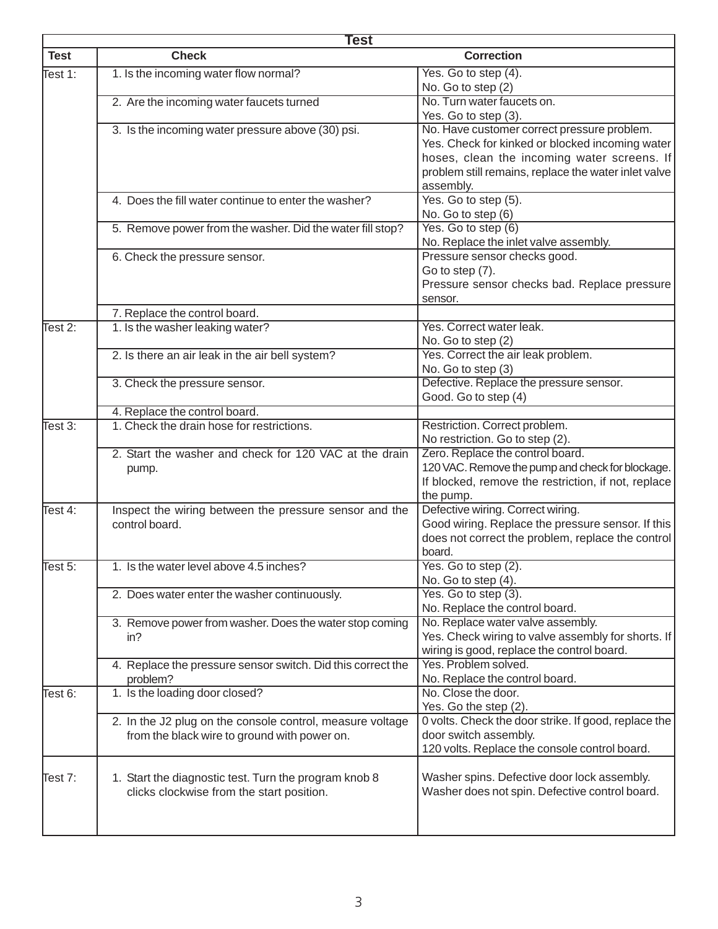|             | Test                                                                     |                                                                                        |  |
|-------------|--------------------------------------------------------------------------|----------------------------------------------------------------------------------------|--|
| <b>Test</b> | <b>Check</b>                                                             | <b>Correction</b>                                                                      |  |
| Test 1:     | 1. Is the incoming water flow normal?                                    | Yes. Go to step (4).                                                                   |  |
|             |                                                                          | No. Go to step (2)                                                                     |  |
|             | 2. Are the incoming water faucets turned                                 | No. Turn water faucets on.                                                             |  |
|             |                                                                          | Yes. Go to step (3).                                                                   |  |
|             | 3. Is the incoming water pressure above (30) psi.                        | No. Have customer correct pressure problem.                                            |  |
|             |                                                                          | Yes. Check for kinked or blocked incoming water                                        |  |
|             |                                                                          | hoses, clean the incoming water screens. If                                            |  |
|             |                                                                          | problem still remains, replace the water inlet valve                                   |  |
|             |                                                                          | assembly.                                                                              |  |
|             | 4. Does the fill water continue to enter the washer?                     | $\overline{Yes.}$ Go to step $(5)$ .                                                   |  |
|             |                                                                          | No. Go to step (6)                                                                     |  |
|             | 5. Remove power from the washer. Did the water fill stop?                | Yes. Go to step (6)                                                                    |  |
|             |                                                                          | No. Replace the inlet valve assembly.                                                  |  |
|             | 6. Check the pressure sensor.                                            | Pressure sensor checks good.                                                           |  |
|             |                                                                          | Go to step (7).<br>Pressure sensor checks bad. Replace pressure                        |  |
|             |                                                                          | sensor.                                                                                |  |
|             | 7. Replace the control board.                                            |                                                                                        |  |
| Test 2:     | 1. Is the washer leaking water?                                          | Yes. Correct water leak.                                                               |  |
|             |                                                                          | No. Go to step (2)                                                                     |  |
|             | 2. Is there an air leak in the air bell system?                          | Yes. Correct the air leak problem.                                                     |  |
|             |                                                                          | No. Go to step (3)                                                                     |  |
|             | 3. Check the pressure sensor.                                            | Defective. Replace the pressure sensor.                                                |  |
|             |                                                                          | Good. Go to step (4)                                                                   |  |
|             | 4. Replace the control board.                                            |                                                                                        |  |
| Test 3:     | 1. Check the drain hose for restrictions.                                | Restriction. Correct problem.                                                          |  |
|             |                                                                          | No restriction. Go to step (2).                                                        |  |
|             | 2. Start the washer and check for 120 VAC at the drain                   | Zero. Replace the control board.                                                       |  |
|             | pump.                                                                    | 120 VAC. Remove the pump and check for blockage.                                       |  |
|             |                                                                          | If blocked, remove the restriction, if not, replace                                    |  |
|             |                                                                          | the pump.                                                                              |  |
| Test $4$ :  | Inspect the wiring between the pressure sensor and the<br>control board. | Defective wiring. Correct wiring.<br>Good wiring. Replace the pressure sensor. If this |  |
|             |                                                                          | does not correct the problem, replace the control                                      |  |
|             |                                                                          | board.                                                                                 |  |
| Test 5:     | 1. Is the water level above 4.5 inches?                                  | Yes. Go to step (2).                                                                   |  |
|             |                                                                          | No. Go to step (4).                                                                    |  |
|             | 2. Does water enter the washer continuously.                             | Yes. Go to step (3).                                                                   |  |
|             |                                                                          | No. Replace the control board.                                                         |  |
|             | 3. Remove power from washer. Does the water stop coming                  | No. Replace water valve assembly.                                                      |  |
|             | in?                                                                      | Yes. Check wiring to valve assembly for shorts. If                                     |  |
|             |                                                                          | wiring is good, replace the control board.                                             |  |
|             | 4. Replace the pressure sensor switch. Did this correct the              | Yes. Problem solved.                                                                   |  |
|             | problem?                                                                 | No. Replace the control board.                                                         |  |
| Test 6:     | 1. Is the loading door closed?                                           | No. Close the door.                                                                    |  |
|             |                                                                          | Yes. Go the step (2).                                                                  |  |
|             | 2. In the J2 plug on the console control, measure voltage                | 0 volts. Check the door strike. If good, replace the                                   |  |
|             | from the black wire to ground with power on.                             | door switch assembly.                                                                  |  |
|             |                                                                          | 120 volts. Replace the console control board.                                          |  |
|             |                                                                          |                                                                                        |  |
| Test 7:     | 1. Start the diagnostic test. Turn the program knob 8                    | Washer spins. Defective door lock assembly.                                            |  |
|             | clicks clockwise from the start position.                                | Washer does not spin. Defective control board.                                         |  |
|             |                                                                          |                                                                                        |  |
|             |                                                                          |                                                                                        |  |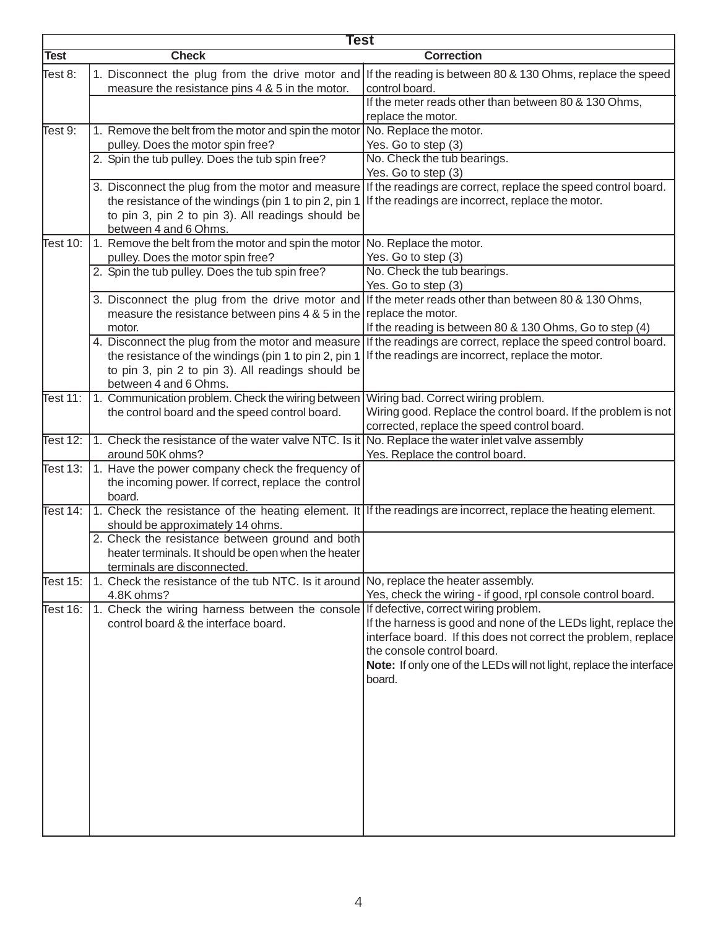|             | Test                                                                                               |                                                                                                                 |  |
|-------------|----------------------------------------------------------------------------------------------------|-----------------------------------------------------------------------------------------------------------------|--|
| <b>Test</b> | <b>Check</b>                                                                                       | <b>Correction</b>                                                                                               |  |
| Test 8:     | 1. Disconnect the plug from the drive motor and<br>measure the resistance pins 4 & 5 in the motor. | If the reading is between 80 & 130 Ohms, replace the speed<br>control board.                                    |  |
|             |                                                                                                    | If the meter reads other than between 80 & 130 Ohms,<br>replace the motor.                                      |  |
| Test 9:     | 1. Remove the belt from the motor and spin the motor                                               | No. Replace the motor.                                                                                          |  |
|             | pulley. Does the motor spin free?                                                                  | Yes. Go to step (3)                                                                                             |  |
|             | 2. Spin the tub pulley. Does the tub spin free?                                                    | No. Check the tub bearings.                                                                                     |  |
|             |                                                                                                    | Yes. Go to step (3)                                                                                             |  |
|             | 3. Disconnect the plug from the motor and measure                                                  | If the readings are correct, replace the speed control board.                                                   |  |
|             | the resistance of the windings (pin 1 to pin 2, pin 1                                              | If the readings are incorrect, replace the motor.                                                               |  |
|             | to pin 3, pin 2 to pin 3). All readings should be                                                  |                                                                                                                 |  |
|             | between 4 and 6 Ohms.                                                                              |                                                                                                                 |  |
| Test 10:    | 1. Remove the belt from the motor and spin the motor                                               | No. Replace the motor.                                                                                          |  |
|             | pulley. Does the motor spin free?                                                                  | Yes. Go to step (3)                                                                                             |  |
|             | 2. Spin the tub pulley. Does the tub spin free?                                                    | No. Check the tub bearings.                                                                                     |  |
|             |                                                                                                    | Yes. Go to step (3)                                                                                             |  |
|             |                                                                                                    | 3. Disconnect the plug from the drive motor and If the meter reads other than between 80 & 130 Ohms,            |  |
|             | measure the resistance between pins $4 \& 5$ in the replace the motor.                             |                                                                                                                 |  |
|             | motor.                                                                                             | If the reading is between 80 & 130 Ohms, Go to step (4)                                                         |  |
|             |                                                                                                    | 4. Disconnect the plug from the motor and measure If the readings are correct, replace the speed control board. |  |
|             | the resistance of the windings (pin 1 to pin 2, pin 1                                              | If the readings are incorrect, replace the motor.                                                               |  |
|             | to pin 3, pin 2 to pin 3). All readings should be<br>between 4 and 6 Ohms.                         |                                                                                                                 |  |
| Test 11:    | 1. Communication problem. Check the wiring between                                                 | Wiring bad. Correct wiring problem.                                                                             |  |
|             | the control board and the speed control board.                                                     | Wiring good. Replace the control board. If the problem is not                                                   |  |
|             |                                                                                                    | corrected, replace the speed control board.                                                                     |  |
| Test $12$ : | 1. Check the resistance of the water valve NTC. Is it No. Replace the water inlet valve assembly   |                                                                                                                 |  |
|             | around 50K ohms?                                                                                   | Yes. Replace the control board.                                                                                 |  |
| Test 13:    | 1. Have the power company check the frequency of                                                   |                                                                                                                 |  |
|             | the incoming power. If correct, replace the control                                                |                                                                                                                 |  |
|             | board.                                                                                             |                                                                                                                 |  |
| Test $14:$  | should be approximately 14 ohms.                                                                   | 1. Check the resistance of the heating element. It If the readings are incorrect, replace the heating element.  |  |
|             | 2. Check the resistance between ground and both                                                    |                                                                                                                 |  |
|             | heater terminals. It should be open when the heater                                                |                                                                                                                 |  |
|             | terminals are disconnected.                                                                        |                                                                                                                 |  |
| Test 15:    | 1. Check the resistance of the tub NTC. Is it around No, replace the heater assembly.              |                                                                                                                 |  |
|             | 4.8K ohms?                                                                                         | Yes, check the wiring - if good, rpl console control board.                                                     |  |
| Test 16:    | 1. Check the wiring harness between the console If defective, correct wiring problem.              |                                                                                                                 |  |
|             | control board & the interface board.                                                               | If the harness is good and none of the LEDs light, replace the                                                  |  |
|             |                                                                                                    | interface board. If this does not correct the problem, replace<br>the console control board.                    |  |
|             |                                                                                                    | Note: If only one of the LEDs will not light, replace the interface                                             |  |
|             |                                                                                                    | board.                                                                                                          |  |
|             |                                                                                                    |                                                                                                                 |  |
|             |                                                                                                    |                                                                                                                 |  |
|             |                                                                                                    |                                                                                                                 |  |
|             |                                                                                                    |                                                                                                                 |  |
|             |                                                                                                    |                                                                                                                 |  |
|             |                                                                                                    |                                                                                                                 |  |
|             |                                                                                                    |                                                                                                                 |  |
|             |                                                                                                    |                                                                                                                 |  |
|             |                                                                                                    |                                                                                                                 |  |
|             |                                                                                                    |                                                                                                                 |  |
|             |                                                                                                    |                                                                                                                 |  |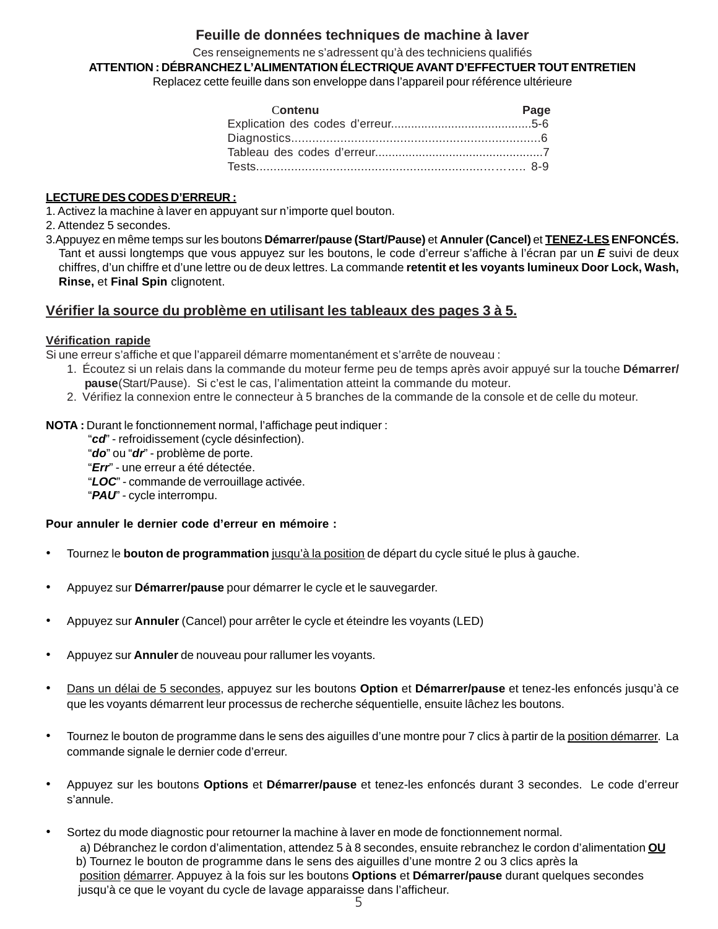## **Feuille de données techniques de machine à laver**

Ces renseignements ne s'adressent qu'à des techniciens qualifiés

**ATTENTION : DÉBRANCHEZ L'ALIMENTATION ÉLECTRIQUE AVANT D'EFFECTUER TOUT ENTRETIEN**

Replacez cette feuille dans son enveloppe dans l'appareil pour référence ultérieure

| Contenu | Page |
|---------|------|
|         |      |
|         |      |
|         |      |
|         |      |

## **LECTURE DES CODES D'ERREUR :**

1. Activez la machine à laver en appuyant sur n'importe quel bouton.

2. Attendez 5 secondes.

3.Appuyez en même temps sur les boutons **Démarrer/pause (Start/Pause)** et **Annuler (Cancel)** et **TENEZ-LES ENFONCÉS.** Tant et aussi longtemps que vous appuyez sur les boutons, le code d'erreur s'affiche à l'écran par un *E* suivi de deux chiffres, d'un chiffre et d'une lettre ou de deux lettres. La commande **retentit et les voyants lumineux Door Lock, Wash, Rinse,** et **Final Spin** clignotent.

## **Vérifier la source du problème en utilisant les tableaux des pages 3 à 5.**

#### **Vérification rapide**

Si une erreur s'affiche et que l'appareil démarre momentanément et s'arrête de nouveau :

- 1. Écoutez si un relais dans la commande du moteur ferme peu de temps après avoir appuyé sur la touche **Démarrer/ pause**(Start/Pause). Si c'est le cas, l'alimentation atteint la commande du moteur.
- 2. Vérifiez la connexion entre le connecteur à 5 branches de la commande de la console et de celle du moteur.

**NOTA :** Durant le fonctionnement normal, l'affichage peut indiquer :

"*cd*" - refroidissement (cycle désinfection).

"*do*" ou "*dr*" - problème de porte.

"*Err*" - une erreur a été détectée.

"*LOC*" - commande de verrouillage activée.

"*PAU*" - cycle interrompu.

#### **Pour annuler le dernier code d'erreur en mémoire :**

- Tournez le **bouton de programmation** jusqu'à la position de départ du cycle situé le plus à gauche.
- Appuyez sur **Démarrer/pause** pour démarrer le cycle et le sauvegarder.
- Appuyez sur **Annuler** (Cancel) pour arrêter le cycle et éteindre les voyants (LED)
- Appuyez sur **Annuler** de nouveau pour rallumer les voyants.
- Dans un délai de 5 secondes, appuyez sur les boutons **Option** et **Démarrer/pause** et tenez-les enfoncés jusqu'à ce que les voyants démarrent leur processus de recherche séquentielle, ensuite lâchez les boutons.
- Tournez le bouton de programme dans le sens des aiguilles d'une montre pour 7 clics à partir de la position démarrer. La commande signale le dernier code d'erreur.
- Appuyez sur les boutons **Options** et **Démarrer/pause** et tenez-les enfoncés durant 3 secondes. Le code d'erreur s'annule.
- Sortez du mode diagnostic pour retourner la machine à laver en mode de fonctionnement normal. a) Débranchez le cordon d'alimentation, attendez 5 à 8 secondes, ensuite rebranchez le cordon d'alimentation **OU** b) Tournez le bouton de programme dans le sens des aiguilles d'une montre 2 ou 3 clics après la position démarrer. Appuyez à la fois sur les boutons **Options** et **Démarrer/pause** durant quelques secondes jusqu'à ce que le voyant du cycle de lavage apparaisse dans l'afficheur.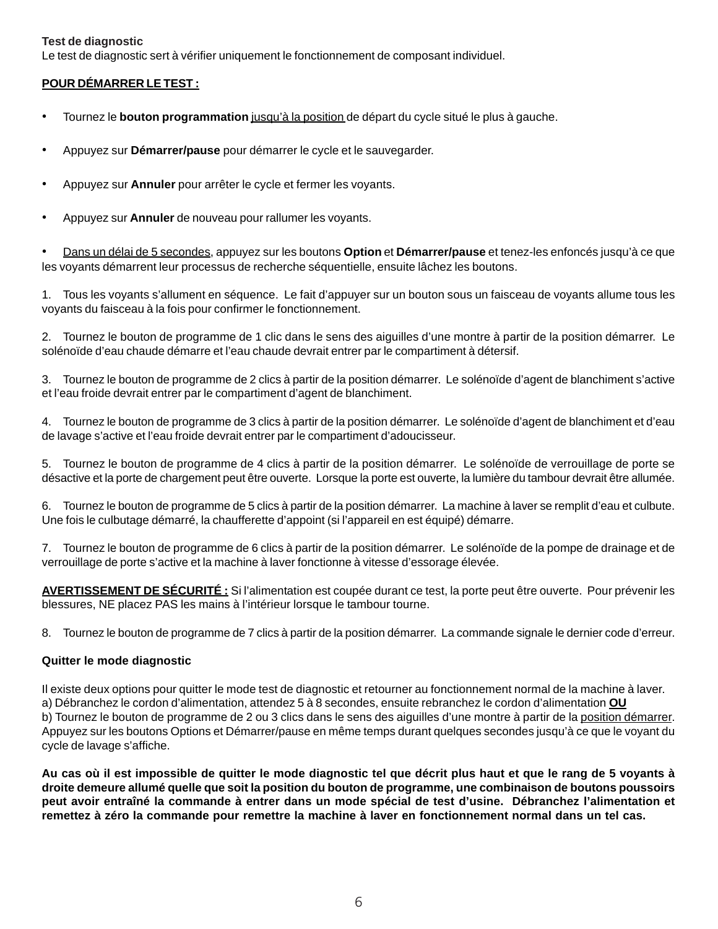#### **Test de diagnostic**

Le test de diagnostic sert à vérifier uniquement le fonctionnement de composant individuel.

#### **POUR DÉMARRER LE TEST :**

- Tournez le **bouton programmation** jusqu'à la position de départ du cycle situé le plus à gauche.
- Appuyez sur **Démarrer/pause** pour démarrer le cycle et le sauvegarder.
- Appuyez sur **Annuler** pour arrêter le cycle et fermer les voyants.
- Appuyez sur **Annuler** de nouveau pour rallumer les voyants.

• Dans un délai de 5 secondes, appuyez sur les boutons **Option** et **Démarrer/pause** et tenez-les enfoncés jusqu'à ce que les voyants démarrent leur processus de recherche séquentielle, ensuite lâchez les boutons.

1. Tous les voyants s'allument en séquence. Le fait d'appuyer sur un bouton sous un faisceau de voyants allume tous les voyants du faisceau à la fois pour confirmer le fonctionnement.

2. Tournez le bouton de programme de 1 clic dans le sens des aiguilles d'une montre à partir de la position démarrer. Le solénoïde d'eau chaude démarre et l'eau chaude devrait entrer par le compartiment à détersif.

3. Tournez le bouton de programme de 2 clics à partir de la position démarrer. Le solénoïde d'agent de blanchiment s'active et l'eau froide devrait entrer par le compartiment d'agent de blanchiment.

4. Tournez le bouton de programme de 3 clics à partir de la position démarrer. Le solénoïde d'agent de blanchiment et d'eau de lavage s'active et l'eau froide devrait entrer par le compartiment d'adoucisseur.

5. Tournez le bouton de programme de 4 clics à partir de la position démarrer. Le solénoïde de verrouillage de porte se désactive et la porte de chargement peut être ouverte. Lorsque la porte est ouverte, la lumière du tambour devrait être allumée.

6. Tournez le bouton de programme de 5 clics à partir de la position démarrer. La machine à laver se remplit d'eau et culbute. Une fois le culbutage démarré, la chaufferette d'appoint (si l'appareil en est équipé) démarre.

7. Tournez le bouton de programme de 6 clics à partir de la position démarrer. Le solénoïde de la pompe de drainage et de verrouillage de porte s'active et la machine à laver fonctionne à vitesse d'essorage élevée.

**AVERTISSEMENT DE SÉCURITÉ :** Si l'alimentation est coupée durant ce test, la porte peut être ouverte. Pour prévenir les blessures, NE placez PAS les mains à l'intérieur lorsque le tambour tourne.

8. Tournez le bouton de programme de 7 clics à partir de la position démarrer. La commande signale le dernier code d'erreur.

#### **Quitter le mode diagnostic**

Il existe deux options pour quitter le mode test de diagnostic et retourner au fonctionnement normal de la machine à laver. a) Débranchez le cordon d'alimentation, attendez 5 à 8 secondes, ensuite rebranchez le cordon d'alimentation **OU** b) Tournez le bouton de programme de 2 ou 3 clics dans le sens des aiguilles d'une montre à partir de la position démarrer. Appuyez sur les boutons Options et Démarrer/pause en même temps durant quelques secondes jusqu'à ce que le voyant du cycle de lavage s'affiche.

**Au cas où il est impossible de quitter le mode diagnostic tel que décrit plus haut et que le rang de 5 voyants à droite demeure allumé quelle que soit la position du bouton de programme, une combinaison de boutons poussoirs peut avoir entraîné la commande à entrer dans un mode spécial de test d'usine. Débranchez l'alimentation et remettez à zéro la commande pour remettre la machine à laver en fonctionnement normal dans un tel cas.**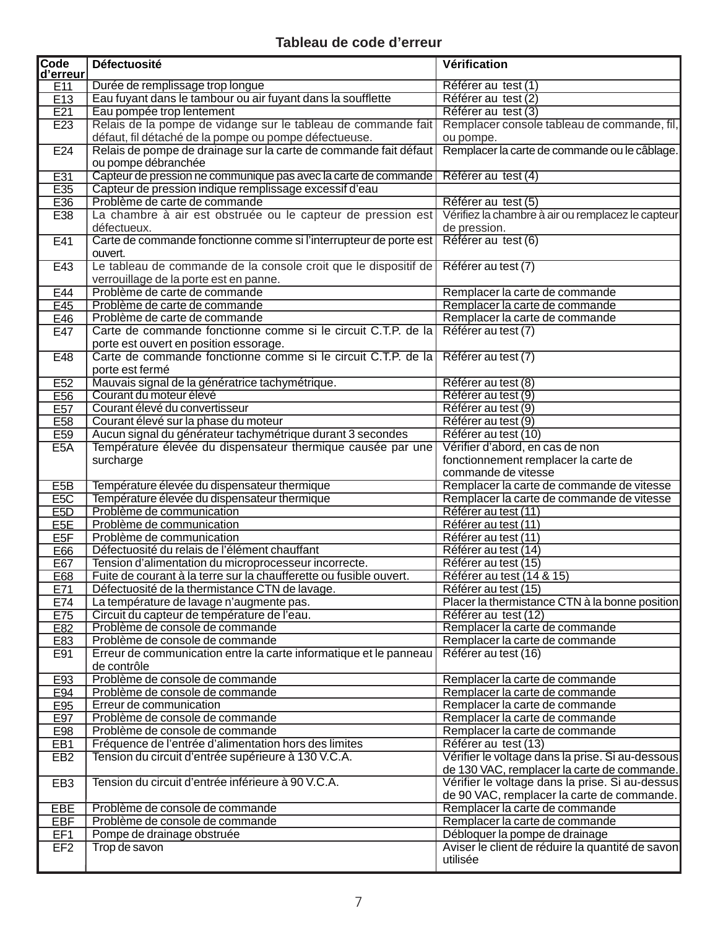# **Tableau de code d'erreur**

| Code<br>d'erreur        | Défectuosité                                                              | Vérification                                                      |
|-------------------------|---------------------------------------------------------------------------|-------------------------------------------------------------------|
| E11                     | Durée de remplissage trop longue                                          | Référer au test (1)                                               |
| E13                     | Eau fuyant dans le tambour ou air fuyant dans la soufflette               | Référer au test (2)                                               |
| E21                     | Eau pompée trop lentement                                                 | Référer au test (3)                                               |
| E23                     | Relais de la pompe de vidange sur le tableau de commande fait             | Remplacer console tableau de commande, fil,                       |
|                         | défaut, fil détaché de la pompe ou pompe défectueuse.                     | ou pompe.                                                         |
| E24                     | Relais de pompe de drainage sur la carte de commande fait défaut          | Remplacer la carte de commande ou le câblage.                     |
|                         | ou pompe débranchée                                                       |                                                                   |
| E31                     | Capteur de pression ne communique pas avec la carte de commande           | Référer au test (4)                                               |
| E35                     | Capteur de pression indique remplissage excessif d'eau                    |                                                                   |
| E36                     | Problème de carte de commande                                             | Référer au test (5)                                               |
| E38                     | La chambre à air est obstruée ou le capteur de pression est               | Vérifiez la chambre à air ou remplacez le capteur                 |
|                         | défectueux.                                                               | de pression.                                                      |
| E41                     | Carte de commande fonctionne comme si l'interrupteur de porte est         | Référer au test (6)                                               |
|                         | ouvert.                                                                   |                                                                   |
| E43                     | Le tableau de commande de la console croit que le dispositif de           | Référer au test (7)                                               |
|                         | verrouillage de la porte est en panne.                                    |                                                                   |
| E44                     | Problème de carte de commande                                             | Remplacer la carte de commande                                    |
| E45                     | Problème de carte de commande                                             | Remplacer la carte de commande                                    |
| E46                     | Problème de carte de commande                                             | Remplacer la carte de commande                                    |
| E47                     | Carte de commande fonctionne comme si le circuit C.T.P. de la             | Référer au test (7)                                               |
|                         | porte est ouvert en position essorage.                                    |                                                                   |
| E48                     | Carte de commande fonctionne comme si le circuit C.T.P. de la             | Référer au test (7)                                               |
|                         | porte est fermé                                                           |                                                                   |
| E <sub>52</sub>         | Mauvais signal de la génératrice tachymétrique.                           | Référer au test (8)                                               |
| E <sub>56</sub>         | Courant du moteur élevé                                                   | Référer au test (9)                                               |
| E57                     | Courant élevé du convertisseur                                            | Référer au test (9)                                               |
| E58                     | Courant élevé sur la phase du moteur                                      | Référer au test (9)                                               |
| E59                     | Aucun signal du générateur tachymétrique durant 3 secondes                | Référer au test (10)                                              |
| E5A                     | Température élevée du dispensateur thermique causée par une               | Vérifier d'abord, en cas de non                                   |
|                         | surcharge                                                                 | fonctionnement remplacer la carte de                              |
|                         |                                                                           | commande de vitesse                                               |
| E5B                     | Température élevée du dispensateur thermique                              | Remplacer la carte de commande de vitesse                         |
| E <sub>5</sub> C<br>E5D | Température élevée du dispensateur thermique<br>Problème de communication | Remplacer la carte de commande de vitesse<br>Référer au test (11) |
| E <sub>5</sub> E        | Problème de communication                                                 | Référer au test (11)                                              |
| E5F                     | Problème de communication                                                 | Référer au test (11)                                              |
| E66                     | Défectuosité du relais de l'élément chauffant                             | Référer au test (14)                                              |
| E67                     | Tension d'alimentation du microprocesseur incorrecte.                     | Référer au test (15)                                              |
| E68                     | Fuite de courant à la terre sur la chaufferette ou fusible ouvert.        | Référer au test (14 & 15)                                         |
| E71                     | Défectuosité de la thermistance CTN de lavage.                            | Référer au test (15)                                              |
| E74                     | La température de lavage n'augmente pas.                                  | Placer la thermistance CTN à la bonne position                    |
| E75                     | Circuit du capteur de température de l'eau.                               | Référer au test (12)                                              |
| E82                     | Problème de console de commande                                           | Remplacer la carte de commande                                    |
| E83                     | Problème de console de commande                                           | Remplacer la carte de commande                                    |
| E91                     | Erreur de communication entre la carte informatique et le panneau         | Référer au test (16)                                              |
|                         | de contrôle                                                               |                                                                   |
| E93                     | Problème de console de commande                                           | Remplacer la carte de commande                                    |
| E94                     | Problème de console de commande                                           | Remplacer la carte de commande                                    |
| E95                     | Erreur de communication                                                   | Remplacer la carte de commande                                    |
| E97                     | Problème de console de commande                                           | Remplacer la carte de commande                                    |
| E98                     | Problème de console de commande                                           | Remplacer la carte de commande                                    |
| EB1                     | Fréquence de l'entrée d'alimentation hors des limites                     | Référer au test (13)                                              |
| EB <sub>2</sub>         | Tension du circuit d'entrée supérieure à 130 V.C.A.                       | Vérifier le voltage dans la prise. Si au-dessous                  |
|                         |                                                                           | de 130 VAC, remplacer la carte de commande.                       |
| EB <sub>3</sub>         | Tension du circuit d'entrée inférieure à 90 V.C.A.                        | Vérifier le voltage dans la prise. Si au-dessus                   |
|                         |                                                                           | de 90 VAC, remplacer la carte de commande.                        |
| <b>EBE</b>              | Problème de console de commande                                           | Remplacer la carte de commande                                    |
| <b>EBF</b>              | Problème de console de commande                                           | Remplacer la carte de commande                                    |
| EF1                     | Pompe de drainage obstruée                                                | Débloquer la pompe de drainage                                    |
| EF <sub>2</sub>         | Trop de savon                                                             | Aviser le client de réduire la quantité de savon                  |
|                         |                                                                           | utilisée                                                          |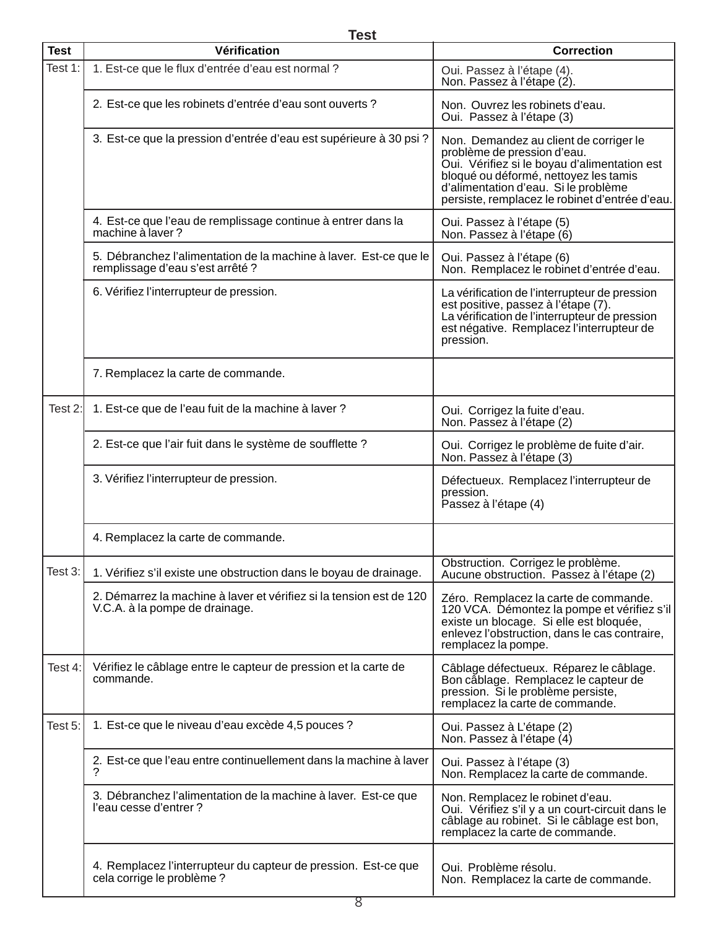**Test**

| <b>Test</b> | Vérification                                                                                          | <b>Correction</b>                                                                                                                                                                                                                                        |
|-------------|-------------------------------------------------------------------------------------------------------|----------------------------------------------------------------------------------------------------------------------------------------------------------------------------------------------------------------------------------------------------------|
| Test 1:     | 1. Est-ce que le flux d'entrée d'eau est normal ?                                                     | Oui. Passez à l'étape (4).<br>Non. Passez à l'étape (2).                                                                                                                                                                                                 |
|             | 2. Est-ce que les robinets d'entrée d'eau sont ouverts ?                                              | Non. Ouvrez les robinets d'eau.<br>Oui. Passez à l'étape (3)                                                                                                                                                                                             |
|             | 3. Est-ce que la pression d'entrée d'eau est supérieure à 30 psi ?                                    | Non. Demandez au client de corriger le<br>problème de pression d'eau.<br>Oui. Vérifiez si le boyau d'alimentation est<br>bloqué ou déformé, nettoyez les tamis<br>d'alimentation d'eau. Si le problème<br>persiste, remplacez le robinet d'entrée d'eau. |
|             | 4. Est-ce que l'eau de remplissage continue à entrer dans la<br>machine à laver?                      | Oui. Passez à l'étape (5)<br>Non. Passez à l'étape (6)                                                                                                                                                                                                   |
|             | 5. Débranchez l'alimentation de la machine à laver. Est-ce que le<br>remplissage d'eau s'est arrêté ? | Oui. Passez à l'étape (6)<br>Non. Remplacez le robinet d'entrée d'eau.                                                                                                                                                                                   |
|             | 6. Vérifiez l'interrupteur de pression.                                                               | La vérification de l'interrupteur de pression<br>est positive, passez à l'étape (7).<br>La vérification de l'interrupteur de pression<br>est négative. Remplacez l'interrupteur de<br>pression.                                                          |
|             | 7. Remplacez la carte de commande.                                                                    |                                                                                                                                                                                                                                                          |
| Test 2:     | 1. Est-ce que de l'eau fuit de la machine à laver ?                                                   | Oui. Corrigez la fuite d'eau.<br>Non. Passez à l'étape (2)                                                                                                                                                                                               |
|             | 2. Est-ce que l'air fuit dans le système de soufflette ?                                              | Oui. Corrigez le problème de fuite d'air.<br>Non. Passez à l'étape (3)                                                                                                                                                                                   |
|             | 3. Vérifiez l'interrupteur de pression.                                                               | Défectueux. Remplacez l'interrupteur de<br>pression.<br>Passez à l'étape (4)                                                                                                                                                                             |
|             | 4. Remplacez la carte de commande.                                                                    |                                                                                                                                                                                                                                                          |
| Test 3:     | 1. Vérifiez s'il existe une obstruction dans le boyau de drainage.                                    | Obstruction. Corrigez le problème.<br>Aucune obstruction. Passez à l'étape (2)                                                                                                                                                                           |
|             | 2. Démarrez la machine à laver et vérifiez si la tension est de 120<br>V.C.A. à la pompe de drainage. | Zéro. Remplacez la carte de commande.<br>120 VCA. Démontez la pompe et vérifiez s'il<br>existe un blocage. Si elle est bloquée,<br>enlevez l'obstruction, dans le cas contraire,<br>remplacez la pompe.                                                  |
| Test 4:     | Vérifiez le câblage entre le capteur de pression et la carte de<br>commande.                          | Câblage défectueux. Réparez le câblage.<br>Bon câblage. Remplacez le capteur de<br>pression. Si le problème persiste,<br>remplacez la carte de commande.                                                                                                 |
| Test 5:     | 1. Est-ce que le niveau d'eau excède 4,5 pouces ?                                                     | Oui. Passez à L'étape (2)<br>Non. Passez à l'étape (4)                                                                                                                                                                                                   |
|             | 2. Est-ce que l'eau entre continuellement dans la machine à laver                                     | Oui. Passez à l'étape (3)<br>Non. Remplacez la carte de commande.                                                                                                                                                                                        |
|             | 3. Débranchez l'alimentation de la machine à laver. Est-ce que<br>l'eau cesse d'entrer?               | Non. Remplacez le robinet d'eau.<br>Oui. Vérifiez s'il y a un court-circuit dans le<br>câblage au robinet. Si le câblage est bon,<br>remplacez la carte de commande.                                                                                     |
|             | 4. Remplacez l'interrupteur du capteur de pression. Est-ce que<br>cela corrige le problème ?          | Oui. Problème résolu.<br>Non. Remplacez la carte de commande.                                                                                                                                                                                            |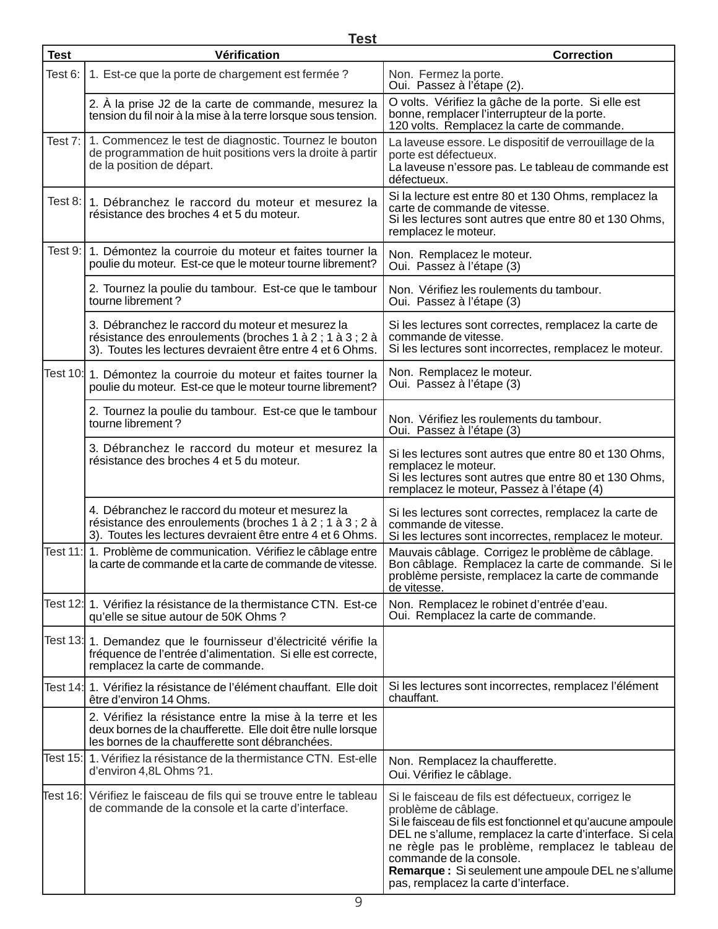|             | <b>Test</b>                                                                                                                                                                  |                                                                                                                                                                                                                                                                                                                                                                                      |
|-------------|------------------------------------------------------------------------------------------------------------------------------------------------------------------------------|--------------------------------------------------------------------------------------------------------------------------------------------------------------------------------------------------------------------------------------------------------------------------------------------------------------------------------------------------------------------------------------|
| <b>Test</b> | Vérification                                                                                                                                                                 | <b>Correction</b>                                                                                                                                                                                                                                                                                                                                                                    |
| Test 6:     | 1. Est-ce que la porte de chargement est fermée ?                                                                                                                            | Non. Fermez la porte.<br>Oui. Passez à l'étape (2).                                                                                                                                                                                                                                                                                                                                  |
|             | 2. À la prise J2 de la carte de commande, mesurez la<br>tension du fil noir à la mise à la terre lorsque sous tension.                                                       | O volts. Vérifiez la gâche de la porte. Si elle est<br>bonne, remplacer l'interrupteur de la porte.<br>120 volts. Remplacez la carte de commande.                                                                                                                                                                                                                                    |
| Test 7:     | 1. Commencez le test de diagnostic. Tournez le bouton<br>de programmation de huit positions vers la droite à partir<br>de la position de départ.                             | La laveuse essore. Le dispositif de verrouillage de la<br>porte est défectueux.<br>La laveuse n'essore pas. Le tableau de commande est<br>défectueux.                                                                                                                                                                                                                                |
|             | Test 8: 1. Débranchez le raccord du moteur et mesurez la<br>résistance des broches 4 et 5 du moteur.                                                                         | Si la lecture est entre 80 et 130 Ohms, remplacez la<br>carte de commande de vitesse.<br>Si les lectures sont autres que entre 80 et 130 Ohms,<br>remplacez le moteur.                                                                                                                                                                                                               |
|             | Test 9: 1. Démontez la courroie du moteur et faites tourner la<br>poulie du moteur. Est-ce que le moteur tourne librement?                                                   | Non. Remplacez le moteur.<br>Oui. Passez à l'étape (3)                                                                                                                                                                                                                                                                                                                               |
|             | 2. Tournez la poulie du tambour. Est-ce que le tambour<br>tourne librement?                                                                                                  | Non. Vérifiez les roulements du tambour.<br>Oui. Passez à l'étape (3)                                                                                                                                                                                                                                                                                                                |
|             | 3. Débranchez le raccord du moteur et mesurez la<br>résistance des enroulements (broches 1 à 2 ; 1 à 3 ; 2 à<br>3). Toutes les lectures devraient être entre 4 et 6 Ohms.    | Si les lectures sont correctes, remplacez la carte de<br>commande de vitesse.<br>Si les lectures sont incorrectes, remplacez le moteur.                                                                                                                                                                                                                                              |
|             | Test 10: 1. Démontez la courroie du moteur et faites tourner la<br>poulie du moteur. Est-ce que le moteur tourne librement?                                                  | Non. Remplacez le moteur.<br>Oui. Passez à l'étape (3)                                                                                                                                                                                                                                                                                                                               |
|             | 2. Tournez la poulie du tambour. Est-ce que le tambour<br>tourne librement?                                                                                                  | Non. Vérifiez les roulements du tambour.<br>Oui. Passez à l'étape (3)                                                                                                                                                                                                                                                                                                                |
|             | 3. Débranchez le raccord du moteur et mesurez la<br>résistance des broches 4 et 5 du moteur.                                                                                 | Si les lectures sont autres que entre 80 et 130 Ohms,<br>remplacez le moteur.<br>Si les lectures sont autres que entre 80 et 130 Ohms,<br>remplacez le moteur, Passez à l'étape (4)                                                                                                                                                                                                  |
|             | 4. Débranchez le raccord du moteur et mesurez la<br>résistance des enroulements (broches 1 à 2 ; 1 à 3 ; 2 à<br>3). Toutes les lectures devraient être entre 4 et 6 Ohms.    | Si les lectures sont correctes, remplacez la carte de<br>commande de vitesse.<br>Si les lectures sont incorrectes, remplacez le moteur.                                                                                                                                                                                                                                              |
|             | Test 11: 1. Problème de communication. Vérifiez le câblage entre<br>la carte de commande et la carte de commande de vitesse.                                                 | Mauvais câblage. Corrigez le problème de câblage.<br>Bon câblage. Remplacez la carte de commande. Si le<br>problème persiste, remplacez la carte de commande<br>de vitesse.                                                                                                                                                                                                          |
|             | Test 12: 1. Vérifiez la résistance de la thermistance CTN. Est-ce<br>qu'elle se situe autour de 50K Ohms ?                                                                   | Non. Remplacez le robinet d'entrée d'eau.<br>Oui. Remplacez la carte de commande.                                                                                                                                                                                                                                                                                                    |
|             | Test 13: 1. Demandez que le fournisseur d'électricité vérifie la<br>fréquence de l'entrée d'alimentation. Si elle est correcte,<br>remplacez la carte de commande.           |                                                                                                                                                                                                                                                                                                                                                                                      |
|             | Test 14:  1. Vérifiez la résistance de l'élément chauffant. Elle doit<br>être d'environ 14 Ohms.                                                                             | Si les lectures sont incorrectes, remplacez l'élément<br>chauffant.                                                                                                                                                                                                                                                                                                                  |
|             | 2. Vérifiez la résistance entre la mise à la terre et les<br>deux bornes de la chaufferette. Elle doit être nulle lorsque<br>les bornes de la chaufferette sont débranchées. |                                                                                                                                                                                                                                                                                                                                                                                      |
|             | Test 15: 1. Vérifiez la résistance de la thermistance CTN. Est-elle<br>d'environ 4,8L Ohms ?1.                                                                               | Non. Remplacez la chaufferette.<br>Oui. Vérifiez le câblage.                                                                                                                                                                                                                                                                                                                         |
|             | Test 16:   Vérifiez le faisceau de fils qui se trouve entre le tableau<br>de commande de la console et la carte d'interface.                                                 | Si le faisceau de fils est défectueux, corrigez le<br>problème de câblage.<br>Si le faisceau de fils est fonctionnel et qu'aucune ampoule<br>DEL ne s'allume, remplacez la carte d'interface. Si cela<br>ne règle pas le problème, remplacez le tableau de<br>commande de la console.<br>Remarque : Si seulement une ampoule DEL ne s'allume<br>pas, remplacez la carte d'interface. |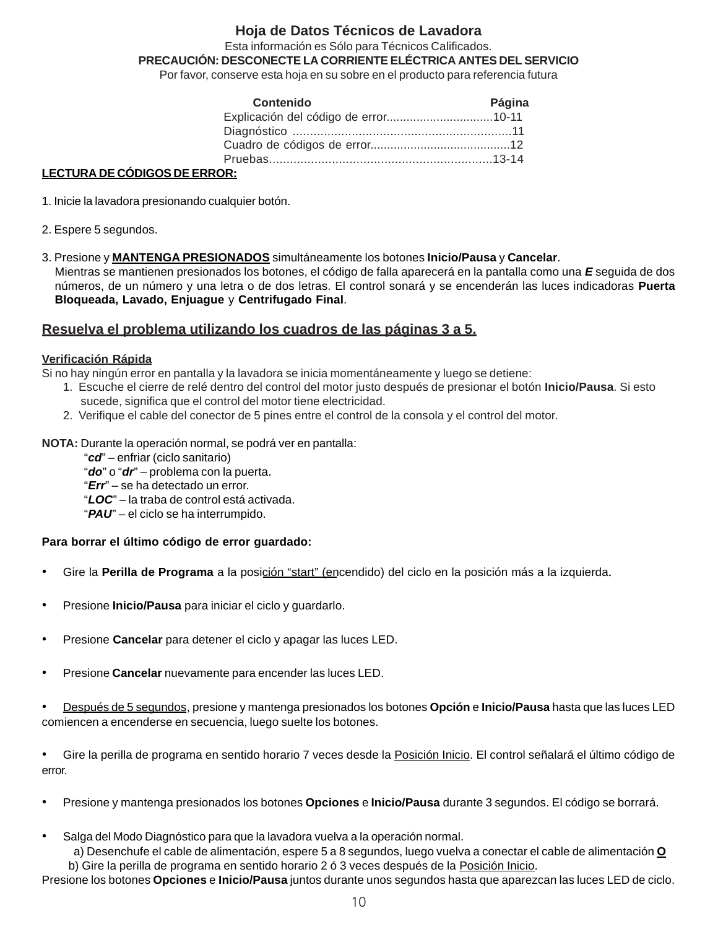## **Hoja de Datos Técnicos de Lavadora**

Esta información es Sólo para Técnicos Calificados.

**PRECAUCIÓN: DESCONECTE LA CORRIENTE ELÉCTRICA ANTES DEL SERVICIO**

Por favor, conserve esta hoja en su sobre en el producto para referencia futura

| Contenido | Página |
|-----------|--------|
|           |        |
|           |        |
|           |        |
|           |        |
|           |        |

#### **LECTURA DE CÓDIGOS DE ERROR:**

1. Inicie la lavadora presionando cualquier botón.

- 2. Espere 5 segundos.
- 3. Presione y **MANTENGA PRESIONADOS** simultáneamente los botones **Inicio/Pausa** y **Cancelar**. Mientras se mantienen presionados los botones, el código de falla aparecerá en la pantalla como una *E* seguida de dos números, de un número y una letra o de dos letras. El control sonará y se encenderán las luces indicadoras **Puerta Bloqueada, Lavado, Enjuague** y **Centrifugado Final**.

## **Resuelva el problema utilizando los cuadros de las páginas 3 a 5.**

## **Verificación Rápida**

Si no hay ningún error en pantalla y la lavadora se inicia momentáneamente y luego se detiene:

- 1. Escuche el cierre de relé dentro del control del motor justo después de presionar el botón **Inicio/Pausa**. Si esto sucede, significa que el control del motor tiene electricidad.
- 2. Verifique el cable del conector de 5 pines entre el control de la consola y el control del motor.
- **NOTA:** Durante la operación normal, se podrá ver en pantalla:
	- "*cd*" enfriar (ciclo sanitario)
	- "*do*" o "*dr*" problema con la puerta.
	- "*Err*" se ha detectado un error.
	- "*LOC*" la traba de control está activada.
	- "*PAU*" el ciclo se ha interrumpido.

## **Para borrar el último código de error guardado:**

- Gire la **Perilla de Programa** a la posición "start" (encendido) del ciclo en la posición más a la izquierda.
- Presione **Inicio/Pausa** para iniciar el ciclo y guardarlo.
- Presione **Cancelar** para detener el ciclo y apagar las luces LED.
- Presione **Cancelar** nuevamente para encender las luces LED.
- Después de 5 segundos, presione y mantenga presionados los botones **Opción** e **Inicio/Pausa** hasta que las luces LED comiencen a encenderse en secuencia, luego suelte los botones.

• Gire la perilla de programa en sentido horario 7 veces desde la Posición Inicio. El control señalará el último código de error.

- Presione y mantenga presionados los botones **Opciones** e **Inicio/Pausa** durante 3 segundos. El código se borrará.
- Salga del Modo Diagnóstico para que la lavadora vuelva a la operación normal.

a) Desenchufe el cable de alimentación, espere 5 a 8 segundos, luego vuelva a conectar el cable de alimentación **O** b) Gire la perilla de programa en sentido horario 2 ó 3 veces después de la Posición Inicio.

Presione los botones **Opciones** e **Inicio/Pausa** juntos durante unos segundos hasta que aparezcan las luces LED de ciclo.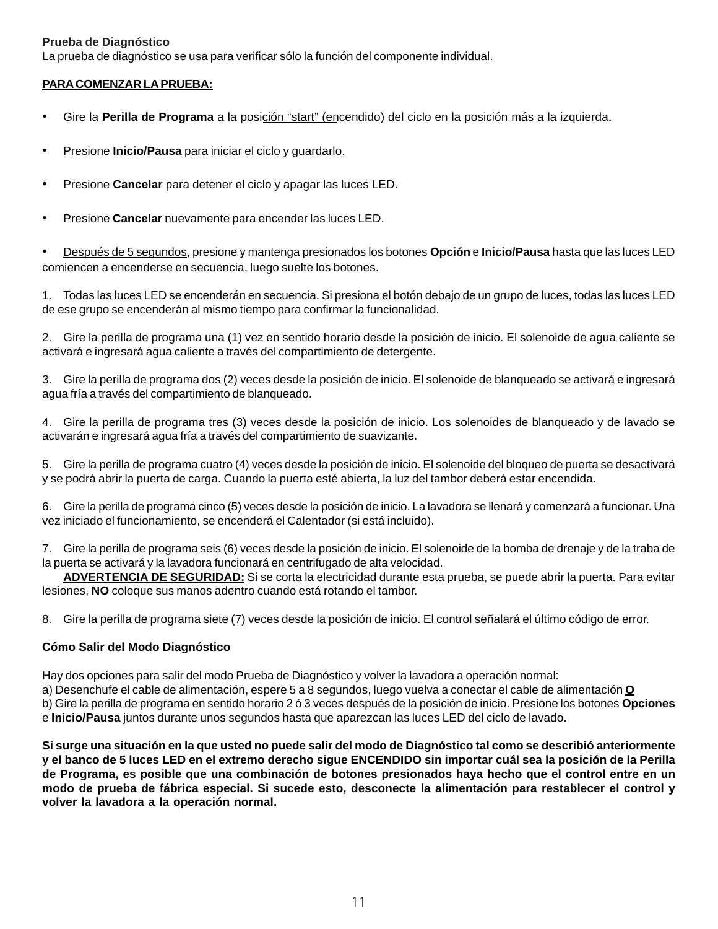#### **Prueba de Diagnóstico**

La prueba de diagnóstico se usa para verificar sólo la función del componente individual.

#### **PARA COMENZAR LA PRUEBA:**

- Gire la **Perilla de Programa** a la posición "start" (encendido) del ciclo en la posición más a la izquierda.
- Presione **Inicio/Pausa** para iniciar el ciclo y guardarlo.
- Presione **Cancelar** para detener el ciclo y apagar las luces LED.
- Presione **Cancelar** nuevamente para encender las luces LED.

• Después de 5 segundos, presione y mantenga presionados los botones **Opción** e **Inicio/Pausa** hasta que las luces LED comiencen a encenderse en secuencia, luego suelte los botones.

1. Todas las luces LED se encenderán en secuencia. Si presiona el botón debajo de un grupo de luces, todas las luces LED de ese grupo se encenderán al mismo tiempo para confirmar la funcionalidad.

2. Gire la perilla de programa una (1) vez en sentido horario desde la posición de inicio. El solenoide de agua caliente se activará e ingresará agua caliente a través del compartimiento de detergente.

3. Gire la perilla de programa dos (2) veces desde la posición de inicio. El solenoide de blanqueado se activará e ingresará agua fría a través del compartimiento de blanqueado.

4. Gire la perilla de programa tres (3) veces desde la posición de inicio. Los solenoides de blanqueado y de lavado se activarán e ingresará agua fría a través del compartimiento de suavizante.

5. Gire la perilla de programa cuatro (4) veces desde la posición de inicio. El solenoide del bloqueo de puerta se desactivará y se podrá abrir la puerta de carga. Cuando la puerta esté abierta, la luz del tambor deberá estar encendida.

6. Gire la perilla de programa cinco (5) veces desde la posición de inicio. La lavadora se llenará y comenzará a funcionar. Una vez iniciado el funcionamiento, se encenderá el Calentador (si está incluido).

7. Gire la perilla de programa seis (6) veces desde la posición de inicio. El solenoide de la bomba de drenaje y de la traba de la puerta se activará y la lavadora funcionará en centrifugado de alta velocidad.

**ADVERTENCIA DE SEGURIDAD:** Si se corta la electricidad durante esta prueba, se puede abrir la puerta. Para evitar lesiones, **NO** coloque sus manos adentro cuando está rotando el tambor.

8. Gire la perilla de programa siete (7) veces desde la posición de inicio. El control señalará el último código de error.

#### **Cómo Salir del Modo Diagnóstico**

Hay dos opciones para salir del modo Prueba de Diagnóstico y volver la lavadora a operación normal:

a) Desenchufe el cable de alimentación, espere 5 a 8 segundos, luego vuelva a conectar el cable de alimentación **O** b) Gire la perilla de programa en sentido horario 2 ó 3 veces después de la posición de inicio. Presione los botones **Opciones** e **Inicio/Pausa** juntos durante unos segundos hasta que aparezcan las luces LED del ciclo de lavado.

**Si surge una situación en la que usted no puede salir del modo de Diagnóstico tal como se describió anteriormente y el banco de 5 luces LED en el extremo derecho sigue ENCENDIDO sin importar cuál sea la posición de la Perilla de Programa, es posible que una combinación de botones presionados haya hecho que el control entre en un modo de prueba de fábrica especial. Si sucede esto, desconecte la alimentación para restablecer el control y volver la lavadora a la operación normal.**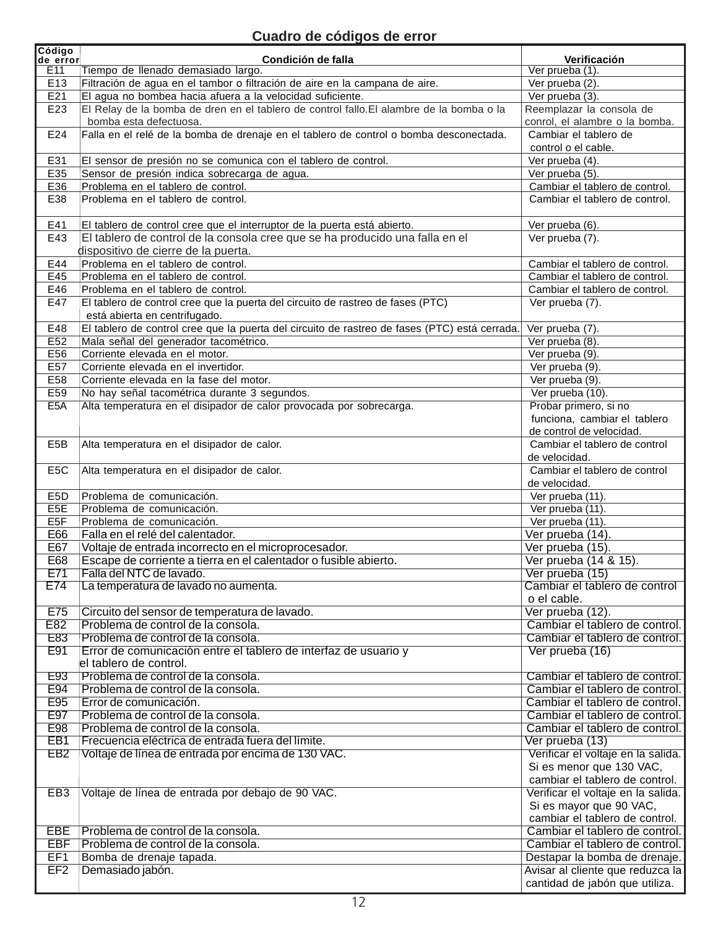# **Cuadro de códigos de error**

| Código<br>de error | Condición de falla                                                                            | Verificación                               |
|--------------------|-----------------------------------------------------------------------------------------------|--------------------------------------------|
| E11                | Tiempo de llenado demasiado largo.                                                            | $\overline{\text{Ver} \text{prueba}}$ (1). |
| E <sub>13</sub>    | Filtración de agua en el tambor o filtración de aire en la campana de aire.                   | Ver prueba (2).                            |
| E21                | El agua no bombea hacia afuera a la velocidad suficiente.                                     | Ver prueba $(3)$ .                         |
| E23                | El Relay de la bomba de dren en el tablero de control fallo. El alambre de la bomba o la      | Reemplazar la consola de                   |
|                    | bomba esta defectuosa.                                                                        | conrol, el alambre o la bomba.             |
| E24                | Falla en el relé de la bomba de drenaje en el tablero de control o bomba desconectada.        | Cambiar el tablero de                      |
|                    |                                                                                               | control o el cable.                        |
| E31                | El sensor de presión no se comunica con el tablero de control.                                | Ver prueba (4).                            |
| E35                | Sensor de presión indica sobrecarga de agua.                                                  | Ver prueba (5).                            |
| E36                | Problema en el tablero de control.                                                            | Cambiar el tablero de control.             |
| E38                | Problema en el tablero de control.                                                            | Cambiar el tablero de control.             |
|                    |                                                                                               |                                            |
| E41                | El tablero de control cree que el interruptor de la puerta está abierto.                      | Ver prueba (6).                            |
| E43                | El tablero de control de la consola cree que se ha producido una falla en el                  | Ver prueba (7).                            |
|                    | dispositivo de cierre de la puerta.                                                           |                                            |
| E44                | Problema en el tablero de control.                                                            | Cambiar el tablero de control.             |
| E45                | Problema en el tablero de control.                                                            | Cambiar el tablero de control.             |
| E46                | Problema en el tablero de control.                                                            | Cambiar el tablero de control.             |
| E47                | El tablero de control cree que la puerta del circuito de rastreo de fases (PTC)               | Ver prueba (7).                            |
|                    | está abierta en centrifugado.                                                                 |                                            |
| E48                | El tablero de control cree que la puerta del circuito de rastreo de fases (PTC) está cerrada. | Ver prueba (7).                            |
| E52                | Mala señal del generador tacométrico.                                                         | Ver prueba (8).                            |
| E56                | Corriente elevada en el motor.                                                                | Ver prueba (9).                            |
| E57                | Corriente elevada en el invertidor.                                                           | Ver prueba (9).                            |
| E58                | Corriente elevada en la fase del motor.                                                       | Ver prueba (9).                            |
| E <sub>59</sub>    | No hay señal tacométrica durante 3 segundos.                                                  | Ver prueba $(10)$ .                        |
| E <sub>5</sub> A   | Alta temperatura en el disipador de calor provocada por sobrecarga.                           | Probar primero, si no                      |
|                    |                                                                                               | funciona, cambiar el tablero               |
|                    |                                                                                               | de control de velocidad.                   |
| E <sub>5</sub> B   | Alta temperatura en el disipador de calor.                                                    | Cambiar el tablero de control              |
|                    |                                                                                               | de velocidad.                              |
| E <sub>5</sub> C   | Alta temperatura en el disipador de calor.                                                    | Cambiar el tablero de control              |
|                    |                                                                                               | de velocidad.                              |
| E5D                | Problema de comunicación.                                                                     | Ver prueba (11).                           |
| E <sub>5E</sub>    | Problema de comunicación.                                                                     | Ver prueba (11).                           |
| E <sub>5F</sub>    | Problema de comunicación.                                                                     | Ver prueba (11).                           |
| E66                | Falla en el relé del calentador.                                                              | Ver prueba (14).                           |
| E67                | Voltaje de entrada incorrecto en el microprocesador.                                          | Ver prueba (15).                           |
| E68                | Escape de corriente a tierra en el calentador o fusible abierto.                              | Ver prueba (14 & 15).                      |
| E71                | Falla del NTC de lavado.                                                                      | Ver prueba (15)                            |
| E74                | La temperatura de lavado no aumenta.                                                          | Cambiar el tablero de control              |
|                    |                                                                                               | o el cable.                                |
| E75                | Circuito del sensor de temperatura de lavado.                                                 | Ver prueba (12).                           |
| E82                | Problema de control de la consola.                                                            | Cambiar el tablero de control.             |
| E83                | Problema de control de la consola.                                                            | Cambiar el tablero de control.             |
| E91                | Error de comunicación entre el tablero de interfaz de usuario y                               | Ver prueba (16)                            |
|                    | el tablero de control.                                                                        |                                            |
| E93                | Problema de control de la consola.                                                            | Cambiar el tablero de control.             |
| E94                | Problema de control de la consola.                                                            | Cambiar el tablero de control.             |
| E95                | Error de comunicación.                                                                        | Cambiar el tablero de control.             |
| E97                | Problema de control de la consola.                                                            | Cambiar el tablero de control.             |
| E98                | Problema de control de la consola.                                                            | Cambiar el tablero de control.             |
| EB <sub>1</sub>    | Frecuencia eléctrica de entrada fuera del límite.                                             | Ver prueba (13)                            |
| EB <sub>2</sub>    | Voltaje de línea de entrada por encima de 130 VAC.                                            | Verificar el voltaje en la salida.         |
|                    |                                                                                               | Si es menor que 130 VAC,                   |
|                    |                                                                                               | cambiar el tablero de control.             |
| EB <sub>3</sub>    | Voltaje de línea de entrada por debajo de 90 VAC.                                             | Verificar el voltaje en la salida.         |
|                    |                                                                                               | Si es mayor que 90 VAC,                    |
|                    |                                                                                               | cambiar el tablero de control.             |
| EBE                | Problema de control de la consola.                                                            | Cambiar el tablero de control.             |
| <b>EBF</b>         | Problema de control de la consola.                                                            | Cambiar el tablero de control.             |
| EF1                | Bomba de drenaje tapada.                                                                      | Destapar la bomba de drenaje.              |
| EF <sub>2</sub>    | Demasiado jabón.                                                                              | Avisar al cliente que reduzca la           |
|                    |                                                                                               | cantidad de jabón que utiliza.             |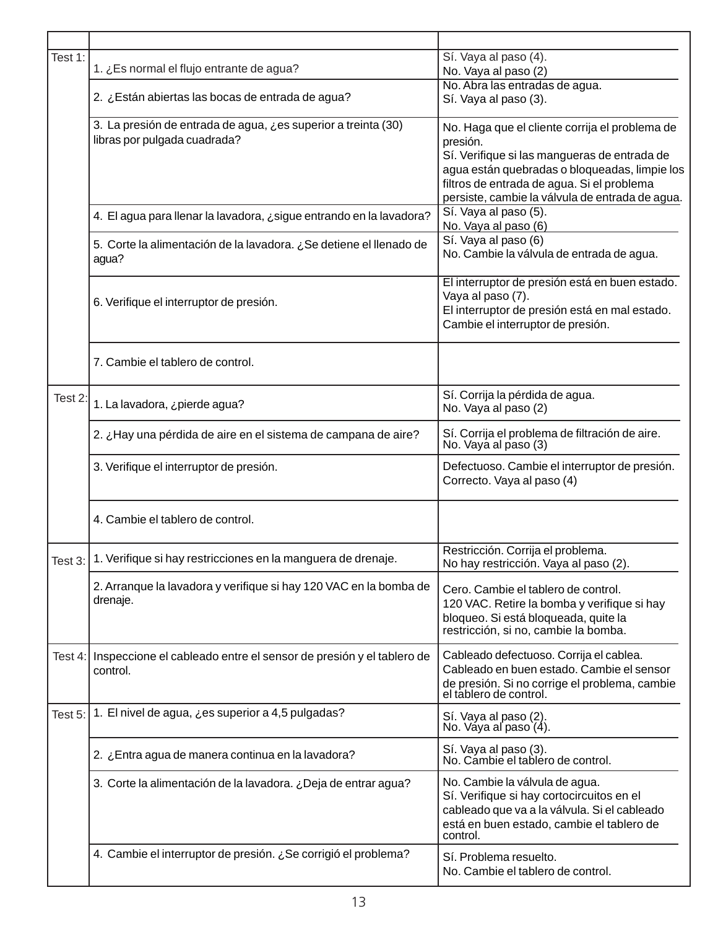| Test 1:        | 1. ¿Es normal el flujo entrante de agua?                                                      | Sí. Vaya al paso (4).<br>No. Vaya al paso (2)                                                                                                                                                                                                                |
|----------------|-----------------------------------------------------------------------------------------------|--------------------------------------------------------------------------------------------------------------------------------------------------------------------------------------------------------------------------------------------------------------|
|                | 2. ¿Están abiertas las bocas de entrada de agua?                                              | No. Abra las entradas de agua.<br>Sí. Vaya al paso (3).                                                                                                                                                                                                      |
|                | 3. La presión de entrada de agua, ¿es superior a treinta (30)<br>libras por pulgada cuadrada? | No. Haga que el cliente corrija el problema de<br>presión.<br>Sí. Verifique si las mangueras de entrada de<br>agua están quebradas o bloqueadas, limpie los<br>filtros de entrada de agua. Si el problema<br>persiste, cambie la válvula de entrada de agua. |
|                | 4. El agua para llenar la lavadora, ¿sigue entrando en la lavadora?                           | Sí. Vaya al paso (5).<br>No. Vaya al paso (6)                                                                                                                                                                                                                |
|                | 5. Corte la alimentación de la lavadora. ¿Se detiene el llenado de<br>agua?                   | Sí. Vaya al paso (6)<br>No. Cambie la válvula de entrada de agua.                                                                                                                                                                                            |
|                | 6. Verifique el interruptor de presión.                                                       | El interruptor de presión está en buen estado.<br>Vaya al paso (7).<br>El interruptor de presión está en mal estado.<br>Cambie el interruptor de presión.                                                                                                    |
|                | 7. Cambie el tablero de control.                                                              |                                                                                                                                                                                                                                                              |
| Test 2:        | 1. La lavadora, ¿pierde agua?                                                                 | Sí. Corrija la pérdida de agua.<br>No. Vaya al paso (2)                                                                                                                                                                                                      |
|                | 2. ¿Hay una pérdida de aire en el sistema de campana de aire?                                 | Sí. Corrija el problema de filtración de aire.<br>No. Vaya al paso (3)                                                                                                                                                                                       |
|                | 3. Verifique el interruptor de presión.                                                       | Defectuoso. Cambie el interruptor de presión.<br>Correcto. Vaya al paso (4)                                                                                                                                                                                  |
|                | 4. Cambie el tablero de control.                                                              |                                                                                                                                                                                                                                                              |
| Test 3: $\mid$ | 1. Verifique si hay restricciones en la manguera de drenaje.                                  | Restricción. Corrija el problema.<br>No hay restricción. Vaya al paso (2).                                                                                                                                                                                   |
|                | 2. Arranque la lavadora y verifique si hay 120 VAC en la bomba de<br>drenaje.                 | Cero. Cambie el tablero de control.<br>120 VAC. Retire la bomba y verifique si hay<br>bloqueo. Si está bloqueada, quite la<br>restricción, si no, cambie la bomba.                                                                                           |
| Test $4:$      | Inspeccione el cableado entre el sensor de presión y el tablero de<br>control.                | Cableado defectuoso. Corrija el cablea.<br>Cableado en buen estado. Cambie el sensor<br>de presión. Si no corrige el problema, cambie<br>el tablero de control.                                                                                              |
| Test 5:        | 1. El nivel de agua, ¿es superior a 4,5 pulgadas?                                             | Sí. Vaya al paso (2).<br>No. Váya al paso (4).                                                                                                                                                                                                               |
|                | 2. ¿Entra agua de manera continua en la lavadora?                                             | Sí. Vaya al paso (3).<br>No. Cambie el tablero de control.                                                                                                                                                                                                   |
|                | 3. Corte la alimentación de la lavadora. ¿Deja de entrar agua?                                | No. Cambie la válvula de agua.<br>Sí. Verifique si hay cortocircuitos en el<br>cableado que va a la válvula. Si el cableado<br>está en buen estado, cambie el tablero de<br>control.                                                                         |
|                | 4. Cambie el interruptor de presión. ¿Se corrigió el problema?                                | Sí. Problema resuelto.<br>No. Cambie el tablero de control.                                                                                                                                                                                                  |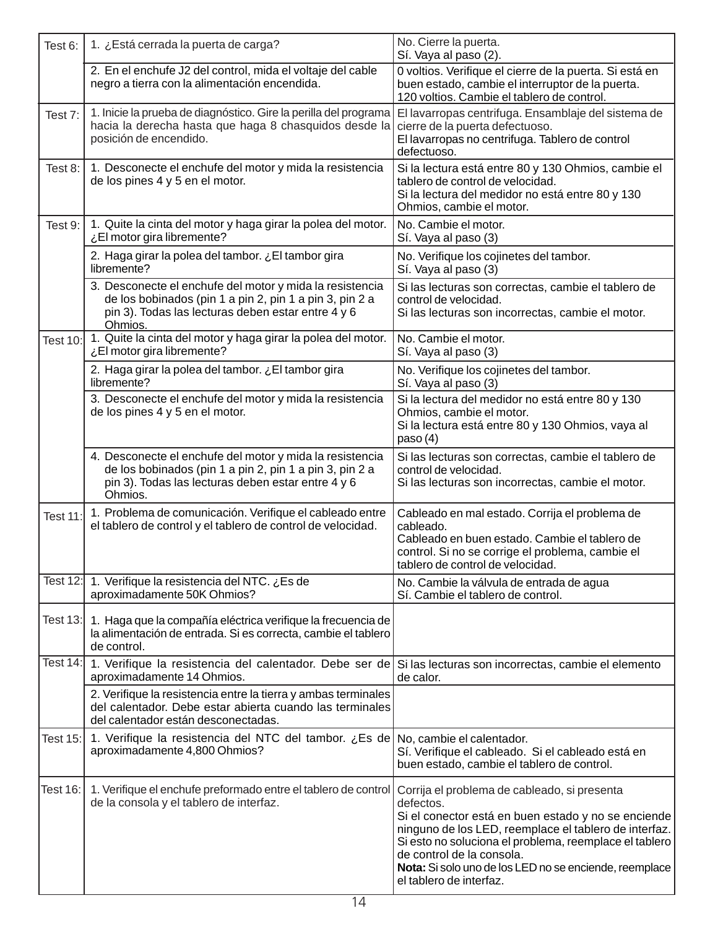| Test 6:         | 1. ¿Está cerrada la puerta de carga?                                                                                                                                                 | No. Cierre la puerta.<br>Sí. Vaya al paso (2).                                                                                                                                                                                                                                                                                                        |
|-----------------|--------------------------------------------------------------------------------------------------------------------------------------------------------------------------------------|-------------------------------------------------------------------------------------------------------------------------------------------------------------------------------------------------------------------------------------------------------------------------------------------------------------------------------------------------------|
|                 | 2. En el enchufe J2 del control, mida el voltaje del cable<br>negro a tierra con la alimentación encendida.                                                                          | 0 voltios. Verifique el cierre de la puerta. Si está en<br>buen estado, cambie el interruptor de la puerta.<br>120 voltios. Cambie el tablero de control.                                                                                                                                                                                             |
| Test 7:         | 1. Inicie la prueba de diagnóstico. Gire la perilla del programa<br>hacia la derecha hasta que haga 8 chasquidos desde la<br>posición de encendido.                                  | El lavarropas centrifuga. Ensamblaje del sistema de<br>cierre de la puerta defectuoso.<br>El lavarropas no centrifuga. Tablero de control<br>defectuoso.                                                                                                                                                                                              |
| Test 8:         | 1. Desconecte el enchufe del motor y mida la resistencia<br>de los pines 4 y 5 en el motor.                                                                                          | Si la lectura está entre 80 y 130 Ohmios, cambie el<br>tablero de control de velocidad.<br>Si la lectura del medidor no está entre 80 y 130<br>Ohmios, cambie el motor.                                                                                                                                                                               |
| Test 9:         | 1. Quite la cinta del motor y haga girar la polea del motor.<br>¿El motor gira libremente?                                                                                           | No. Cambie el motor.<br>Sí. Vaya al paso (3)                                                                                                                                                                                                                                                                                                          |
|                 | 2. Haga girar la polea del tambor. ¿El tambor gira<br>libremente?                                                                                                                    | No. Verifique los cojinetes del tambor.<br>Sí. Vaya al paso (3)                                                                                                                                                                                                                                                                                       |
|                 | 3. Desconecte el enchufe del motor y mida la resistencia<br>de los bobinados (pin 1 a pin 2, pin 1 a pin 3, pin 2 a<br>pin 3). Todas las lecturas deben estar entre 4 y 6<br>Ohmios. | Si las lecturas son correctas, cambie el tablero de<br>control de velocidad.<br>Si las lecturas son incorrectas, cambie el motor.                                                                                                                                                                                                                     |
| <b>Test 10:</b> | 1. Quite la cinta del motor y haga girar la polea del motor.<br>¿El motor gira libremente?                                                                                           | No. Cambie el motor.<br>Sí. Vaya al paso (3)                                                                                                                                                                                                                                                                                                          |
|                 | 2. Haga girar la polea del tambor. ¿El tambor gira<br>libremente?                                                                                                                    | No. Verifique los cojinetes del tambor.<br>Sí. Vaya al paso (3)                                                                                                                                                                                                                                                                                       |
|                 | 3. Desconecte el enchufe del motor y mida la resistencia<br>de los pines 4 y 5 en el motor.                                                                                          | Si la lectura del medidor no está entre 80 y 130<br>Ohmios, cambie el motor.<br>Si la lectura está entre 80 y 130 Ohmios, vaya al<br>paso $(4)$                                                                                                                                                                                                       |
|                 | 4. Desconecte el enchufe del motor y mida la resistencia<br>de los bobinados (pin 1 a pin 2, pin 1 a pin 3, pin 2 a<br>pin 3). Todas las lecturas deben estar entre 4 y 6<br>Ohmios. | Si las lecturas son correctas, cambie el tablero de<br>control de velocidad.<br>Si las lecturas son incorrectas, cambie el motor.                                                                                                                                                                                                                     |
| <b>Test 11:</b> | 1. Problema de comunicación. Verifique el cableado entre<br>el tablero de control y el tablero de control de velocidad.                                                              | Cableado en mal estado. Corrija el problema de<br>cableado.<br>Cableado en buen estado. Cambie el tablero de<br>control. Si no se corrige el problema, cambie el<br>tablero de control de velocidad.                                                                                                                                                  |
| <b>Test 12:</b> | 1. Verifique la resistencia del NTC. ¿Es de<br>aproximadamente 50K Ohmios?                                                                                                           | No. Cambie la válvula de entrada de agua<br>Sí. Cambie el tablero de control.                                                                                                                                                                                                                                                                         |
| Test 13:        | 1. Haga que la compañía eléctrica verifique la frecuencia de<br>la alimentación de entrada. Si es correcta, cambie el tablero<br>de control.                                         |                                                                                                                                                                                                                                                                                                                                                       |
| <b>Test 14:</b> | 1. Verifique la resistencia del calentador. Debe ser de<br>aproximadamente 14 Ohmios.                                                                                                | Si las lecturas son incorrectas, cambie el elemento<br>de calor.                                                                                                                                                                                                                                                                                      |
|                 | 2. Verifique la resistencia entre la tierra y ambas terminales<br>del calentador. Debe estar abierta cuando las terminales<br>del calentador están desconectadas.                    |                                                                                                                                                                                                                                                                                                                                                       |
| Test 15:        | 1. Verifique la resistencia del NTC del tambor. ¿Es de No, cambie el calentador.<br>aproximadamente 4,800 Ohmios?                                                                    | Sí. Verifique el cableado. Si el cableado está en<br>buen estado, cambie el tablero de control.                                                                                                                                                                                                                                                       |
| Test 16:        | 1. Verifique el enchufe preformado entre el tablero de control<br>de la consola y el tablero de interfaz.                                                                            | Corrija el problema de cableado, si presenta<br>defectos.<br>Si el conector está en buen estado y no se enciende<br>ninguno de los LED, reemplace el tablero de interfaz.<br>Si esto no soluciona el problema, reemplace el tablero<br>de control de la consola.<br>Nota: Si solo uno de los LED no se enciende, reemplace<br>el tablero de interfaz. |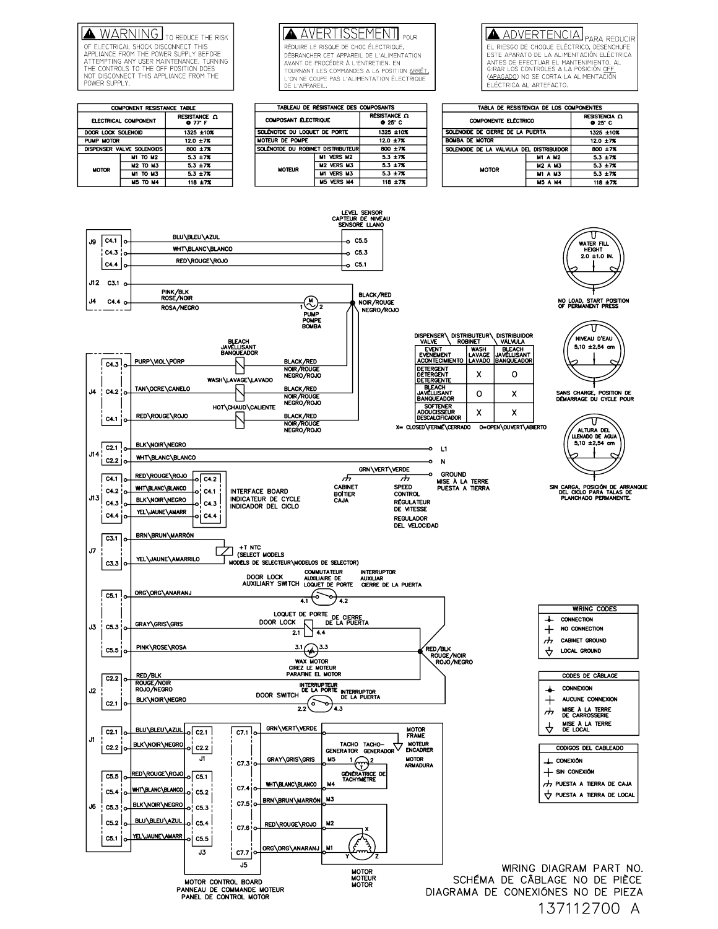WARNING TO REDUCE THE RISK OF ELECTRICAL SHOCK DISCONNECT THIS<br>APPLIANCE FROM THE POWER SUPPLY BEFORE ATTEMPTING ANY USER MAINTENANCE. TURNING<br>THE CONTROLS TO THE OFF POSITION DOES NOT DISCONNECT THIS APPLIANCE FROM THE POWER SUPPLY

#### COMPONENT RESISTANCE TABLE **RESISTANCE**  $\Omega$  **0** 77 F ELECTRICAL COMPONENT DOOR LOCK SOLENOID  $1325 + 10%$ PUMP MOTOR  $12.0 \pm 7%$ DISPENSER VALVE SOLENOIDS  $800 \pm 7%$ **M1 TO M2**  $\frac{5.3 \pm 7\%}{5.3 \pm 7\%}$  $M2$  TO  $M3$ **MOTOR** M1 TO M3  $5.3 \pm 7%$ **M5 TO M4**  $118 + 72$

**AVERTISSEMENT** POLIR RÉDUIRE LE RISQUE DE CHOC ÉLECTRIQUE, DÉBRANCHER CET APPAREIL DE L'ALIMENTATION<br>AVANT DE PROCÉDER À L'ENTRETIEN. EN TOURNANT LES COMMANDES A LA POSITION <u>ARRÊT.</u> VON NE COUPE PAS L'ALIMENTATION ÉLECTRIQUE

ADVERTENCIA PARA REDUCIR EL RIESGO DE CHOQUE ELÉCTRICO, DESENCHUFE ESTE APARATO DE LA ALIMENTACIÓN ELÉCTRICA<br>ANTES DE EFECTUAR EL MANTENIMIENTO. AL<br>GIRAR LOS CONTROLES A LA POSICIÓN <u>OFF</u> (<u>APAGADO</u>) NO SE CORTA LA ALIMENTACIÓN ELÉCTRICA AL ARTEFACTO.

| TABLEAU DE RÉSISTANCE DES COMPOSANTS |                   |                       |  |
|--------------------------------------|-------------------|-----------------------|--|
| <b>COMPOSANT ÉLECTRIQUE</b>          |                   | RÉSISTANCE Q<br>0.25C |  |
| SOLÉNOTDE DU LOQUET DE PORTE         |                   | 1325 ±10%             |  |
| MOTEUR DE POMPE                      |                   | $12.0 + 7%$           |  |
| SOLÉNOTDE DU ROBINET DISTRIBUTEUR    |                   | 800 ±7%               |  |
| <b>MOTEUR</b>                        | M1 VERS M2        | $5.3 + 7%$            |  |
|                                      | <b>M2 VERS M3</b> | $5.3 + 7%$            |  |
|                                      | <b>M1 VERS M3</b> | $5.3 + 7%$            |  |
|                                      | <b>M5 VERS M4</b> | 118 ±7%               |  |

E L'APPAREIL

| TABLA DE RESISTENCIA DE LOS COMPONENTES  |                |                        |  |
|------------------------------------------|----------------|------------------------|--|
| <b>COMPONENTE ELÉCTRICO</b>              |                | RESISTENCIA Q<br>0.25C |  |
| SOLENOIDE DE CIERRE DE LA PUERTA         |                | 1325 ±10%              |  |
| <b>BOMBA DE MOTOR</b>                    |                | $12.0 \pm 7\%$         |  |
| SOLENOIDE DE LA VÁLVULA DEL DISTRIBUIDOR |                | 800 ±7%                |  |
| <b>MOTOR</b>                             | <b>M1 A M2</b> | $5.3 + 7%$             |  |
|                                          | <b>M2 A M3</b> | $5.3 + 7%$             |  |
|                                          | <b>M1 A M3</b> | $5.3 + 7%$             |  |
|                                          | M5 A MA        | 118 + 7%               |  |